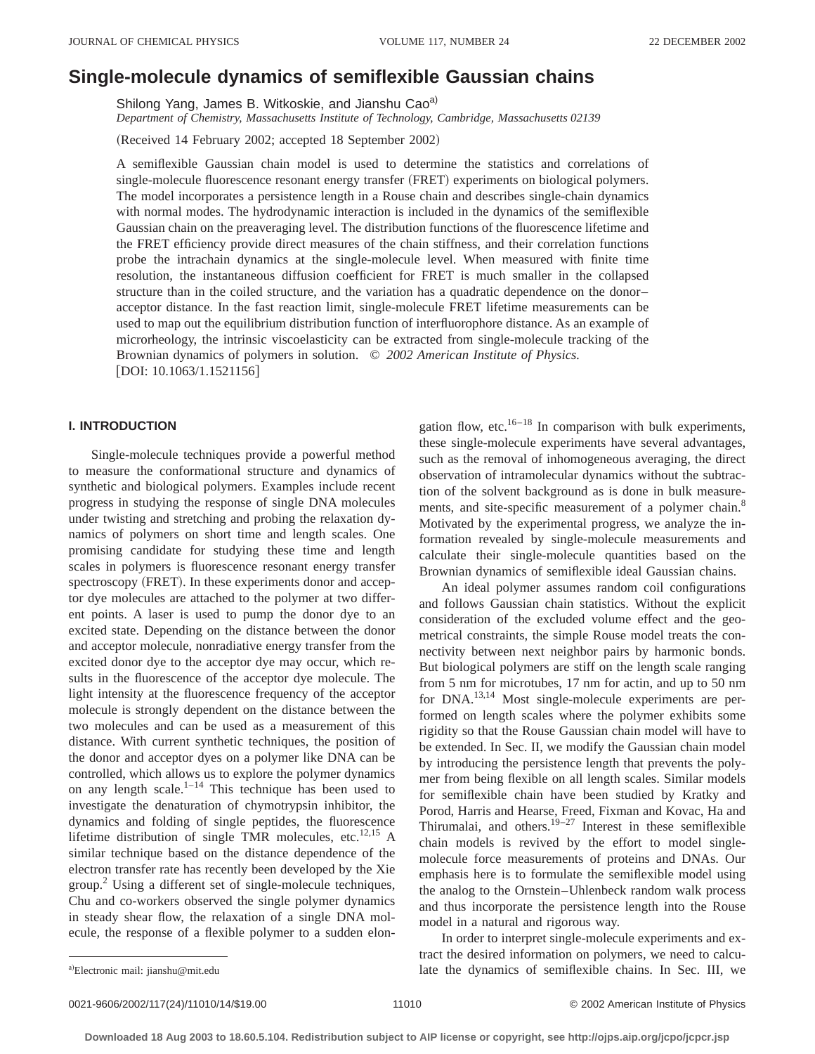# **Single-molecule dynamics of semiflexible Gaussian chains**

Shilong Yang, James B. Witkoskie, and Jianshu Cao<sup>a)</sup> *Department of Chemistry, Massachusetts Institute of Technology, Cambridge, Massachusetts 02139*

(Received 14 February 2002; accepted 18 September 2002)

A semiflexible Gaussian chain model is used to determine the statistics and correlations of single-molecule fluorescence resonant energy transfer (FRET) experiments on biological polymers. The model incorporates a persistence length in a Rouse chain and describes single-chain dynamics with normal modes. The hydrodynamic interaction is included in the dynamics of the semiflexible Gaussian chain on the preaveraging level. The distribution functions of the fluorescence lifetime and the FRET efficiency provide direct measures of the chain stiffness, and their correlation functions probe the intrachain dynamics at the single-molecule level. When measured with finite time resolution, the instantaneous diffusion coefficient for FRET is much smaller in the collapsed structure than in the coiled structure, and the variation has a quadratic dependence on the donor– acceptor distance. In the fast reaction limit, single-molecule FRET lifetime measurements can be used to map out the equilibrium distribution function of interfluorophore distance. As an example of microrheology, the intrinsic viscoelasticity can be extracted from single-molecule tracking of the Brownian dynamics of polymers in solution. © *2002 American Institute of Physics.* [DOI: 10.1063/1.1521156]

# **I. INTRODUCTION**

Single-molecule techniques provide a powerful method to measure the conformational structure and dynamics of synthetic and biological polymers. Examples include recent progress in studying the response of single DNA molecules under twisting and stretching and probing the relaxation dynamics of polymers on short time and length scales. One promising candidate for studying these time and length scales in polymers is fluorescence resonant energy transfer spectroscopy (FRET). In these experiments donor and acceptor dye molecules are attached to the polymer at two different points. A laser is used to pump the donor dye to an excited state. Depending on the distance between the donor and acceptor molecule, nonradiative energy transfer from the excited donor dye to the acceptor dye may occur, which results in the fluorescence of the acceptor dye molecule. The light intensity at the fluorescence frequency of the acceptor molecule is strongly dependent on the distance between the two molecules and can be used as a measurement of this distance. With current synthetic techniques, the position of the donor and acceptor dyes on a polymer like DNA can be controlled, which allows us to explore the polymer dynamics on any length scale. $1-14$  This technique has been used to investigate the denaturation of chymotrypsin inhibitor, the dynamics and folding of single peptides, the fluorescence lifetime distribution of single TMR molecules, etc.<sup>12,15</sup> A similar technique based on the distance dependence of the electron transfer rate has recently been developed by the Xie group.<sup>2</sup> Using a different set of single-molecule techniques, Chu and co-workers observed the single polymer dynamics in steady shear flow, the relaxation of a single DNA molecule, the response of a flexible polymer to a sudden elongation flow, etc. $16-18$  In comparison with bulk experiments, these single-molecule experiments have several advantages, such as the removal of inhomogeneous averaging, the direct observation of intramolecular dynamics without the subtraction of the solvent background as is done in bulk measurements, and site-specific measurement of a polymer chain.<sup>8</sup> Motivated by the experimental progress, we analyze the information revealed by single-molecule measurements and calculate their single-molecule quantities based on the Brownian dynamics of semiflexible ideal Gaussian chains.

An ideal polymer assumes random coil configurations and follows Gaussian chain statistics. Without the explicit consideration of the excluded volume effect and the geometrical constraints, the simple Rouse model treats the connectivity between next neighbor pairs by harmonic bonds. But biological polymers are stiff on the length scale ranging from 5 nm for microtubes, 17 nm for actin, and up to 50 nm for DNA.13,14 Most single-molecule experiments are performed on length scales where the polymer exhibits some rigidity so that the Rouse Gaussian chain model will have to be extended. In Sec. II, we modify the Gaussian chain model by introducing the persistence length that prevents the polymer from being flexible on all length scales. Similar models for semiflexible chain have been studied by Kratky and Porod, Harris and Hearse, Freed, Fixman and Kovac, Ha and Thirumalai, and others. $19-27$  Interest in these semiflexible chain models is revived by the effort to model singlemolecule force measurements of proteins and DNAs. Our emphasis here is to formulate the semiflexible model using the analog to the Ornstein–Uhlenbeck random walk process and thus incorporate the persistence length into the Rouse model in a natural and rigorous way.

In order to interpret single-molecule experiments and extract the desired information on polymers, we need to calculate the dynamics of semiflexible chains. In Sec. III, we

0021-9606/2002/117(24)/11010/14/\$19.00 © 2002 American Institute of Physics 11010

Electronic mail: jianshu@mit.edu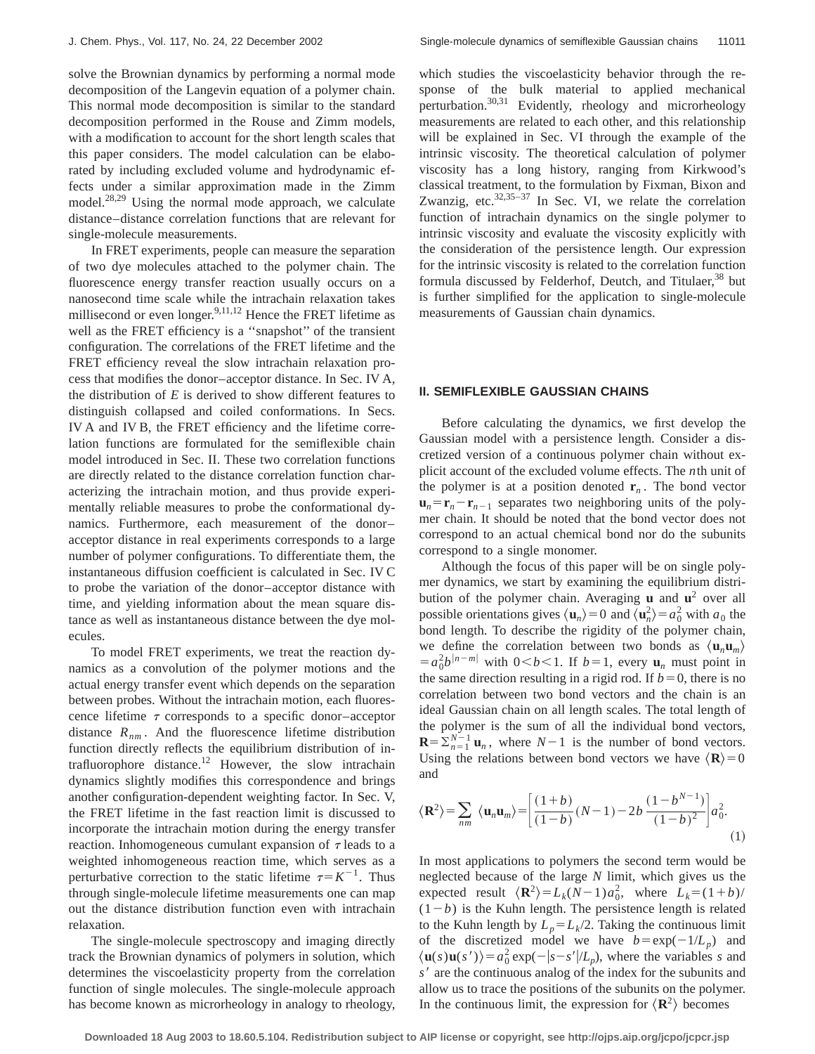solve the Brownian dynamics by performing a normal mode decomposition of the Langevin equation of a polymer chain. This normal mode decomposition is similar to the standard decomposition performed in the Rouse and Zimm models, with a modification to account for the short length scales that this paper considers. The model calculation can be elaborated by including excluded volume and hydrodynamic effects under a similar approximation made in the Zimm model.28,29 Using the normal mode approach, we calculate distance–distance correlation functions that are relevant for single-molecule measurements.

In FRET experiments, people can measure the separation of two dye molecules attached to the polymer chain. The fluorescence energy transfer reaction usually occurs on a nanosecond time scale while the intrachain relaxation takes millisecond or even longer. $9,11,12$  Hence the FRET lifetime as well as the FRET efficiency is a ''snapshot'' of the transient configuration. The correlations of the FRET lifetime and the FRET efficiency reveal the slow intrachain relaxation process that modifies the donor–acceptor distance. In Sec. IV A, the distribution of *E* is derived to show different features to distinguish collapsed and coiled conformations. In Secs. IV A and IV B, the FRET efficiency and the lifetime correlation functions are formulated for the semiflexible chain model introduced in Sec. II. These two correlation functions are directly related to the distance correlation function characterizing the intrachain motion, and thus provide experimentally reliable measures to probe the conformational dynamics. Furthermore, each measurement of the donor– acceptor distance in real experiments corresponds to a large number of polymer configurations. To differentiate them, the instantaneous diffusion coefficient is calculated in Sec. IV C to probe the variation of the donor–acceptor distance with time, and yielding information about the mean square distance as well as instantaneous distance between the dye molecules.

To model FRET experiments, we treat the reaction dynamics as a convolution of the polymer motions and the actual energy transfer event which depends on the separation between probes. Without the intrachain motion, each fluorescence lifetime  $\tau$  corresponds to a specific donor–acceptor distance  $R_{nm}$ . And the fluorescence lifetime distribution function directly reflects the equilibrium distribution of intrafluorophore distance.<sup>12</sup> However, the slow intrachain dynamics slightly modifies this correspondence and brings another configuration-dependent weighting factor. In Sec. V, the FRET lifetime in the fast reaction limit is discussed to incorporate the intrachain motion during the energy transfer reaction. Inhomogeneous cumulant expansion of  $\tau$  leads to a weighted inhomogeneous reaction time, which serves as a perturbative correction to the static lifetime  $\tau = K^{-1}$ . Thus through single-molecule lifetime measurements one can map out the distance distribution function even with intrachain relaxation.

The single-molecule spectroscopy and imaging directly track the Brownian dynamics of polymers in solution, which determines the viscoelasticity property from the correlation function of single molecules. The single-molecule approach has become known as microrheology in analogy to rheology,

which studies the viscoelasticity behavior through the response of the bulk material to applied mechanical perturbation.30,31 Evidently, rheology and microrheology measurements are related to each other, and this relationship will be explained in Sec. VI through the example of the intrinsic viscosity. The theoretical calculation of polymer viscosity has a long history, ranging from Kirkwood's classical treatment, to the formulation by Fixman, Bixon and Zwanzig, etc. $32,35-37$  In Sec. VI, we relate the correlation function of intrachain dynamics on the single polymer to intrinsic viscosity and evaluate the viscosity explicitly with the consideration of the persistence length. Our expression for the intrinsic viscosity is related to the correlation function formula discussed by Felderhof, Deutch, and Titulaer,<sup>38</sup> but is further simplified for the application to single-molecule measurements of Gaussian chain dynamics.

#### **II. SEMIFLEXIBLE GAUSSIAN CHAINS**

Before calculating the dynamics, we first develop the Gaussian model with a persistence length. Consider a discretized version of a continuous polymer chain without explicit account of the excluded volume effects. The *n*th unit of the polymer is at a position denoted  $\mathbf{r}_n$ . The bond vector  $\mathbf{u}_n = \mathbf{r}_n - \mathbf{r}_{n-1}$  separates two neighboring units of the polymer chain. It should be noted that the bond vector does not correspond to an actual chemical bond nor do the subunits correspond to a single monomer.

Although the focus of this paper will be on single polymer dynamics, we start by examining the equilibrium distribution of the polymer chain. Averaging **u** and **u**<sup>2</sup> over all possible orientations gives  $\langle \mathbf{u}_n \rangle = 0$  and  $\langle \mathbf{u}_n^2 \rangle = a_0^2$  with  $a_0$  the bond length. To describe the rigidity of the polymer chain, we define the correlation between two bonds as  $\langle \mathbf{u}_n \mathbf{u}_m \rangle$  $=a_0^2b^{|n-m|}$  with  $0 < b < 1$ . If  $b=1$ , every  $\mathbf{u}_n$  must point in the same direction resulting in a rigid rod. If  $b=0$ , there is no correlation between two bond vectors and the chain is an ideal Gaussian chain on all length scales. The total length of the polymer is the sum of all the individual bond vectors,  $\mathbf{R} = \sum_{n=1}^{N-1} \mathbf{u}_n$ , where  $N-1$  is the number of bond vectors. Using the relations between bond vectors we have  $\langle \mathbf{R} \rangle = 0$ and

$$
\langle \mathbf{R}^2 \rangle = \sum_{nm} \langle \mathbf{u}_n \mathbf{u}_m \rangle = \left[ \frac{(1+b)}{(1-b)} (N-1) - 2b \frac{(1-b^{N-1})}{(1-b)^2} \right] a_0^2.
$$
\n(1)

In most applications to polymers the second term would be neglected because of the large *N* limit, which gives us the expected result  $\langle \mathbf{R}^2 \rangle = L_k(N-1)a_0^2$ , where  $L_k = (1+b)/2$  $(1-b)$  is the Kuhn length. The persistence length is related to the Kuhn length by  $L_p = L_k/2$ . Taking the continuous limit of the discretized model we have  $b = \exp(-1/L_p)$  and  $\langle$ **u**(*s*)**u**(*s*<sup>'</sup>) $\rangle = a_0^2 \exp(-|s-s'|/L_p)$ , where the variables *s* and *s*<sup> $\prime$ </sup> are the continuous analog of the index for the subunits and allow us to trace the positions of the subunits on the polymer. In the continuous limit, the expression for  $\langle \mathbf{R}^2 \rangle$  becomes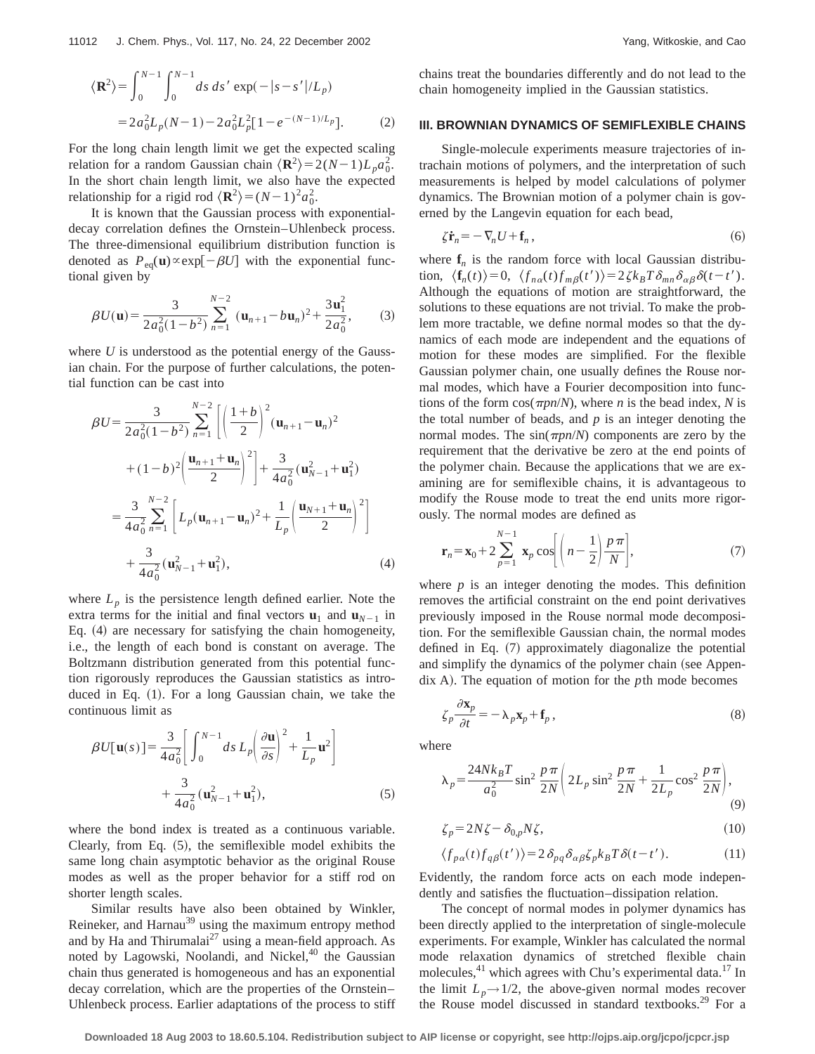$$
\langle \mathbf{R}^2 \rangle = \int_0^{N-1} \int_0^{N-1} ds \, ds' \, \exp(-|s-s'|/L_p)
$$
  
=  $2a_0^2 L_p (N-1) - 2a_0^2 L_p^2 [1 - e^{-(N-1)/L_p}].$  (2)

For the long chain length limit we get the expected scaling relation for a random Gaussian chain  $\langle \mathbf{R}^2 \rangle = 2(N-1)L_p a_0^2$ . In the short chain length limit, we also have the expected relationship for a rigid rod  $\langle \mathbf{R}^2 \rangle = (N-1)^2 a_0^2$ .

It is known that the Gaussian process with exponentialdecay correlation defines the Ornstein–Uhlenbeck process. The three-dimensional equilibrium distribution function is denoted as  $P_{eq}(u) \propto exp[-\beta U]$  with the exponential functional given by

$$
\beta U(\mathbf{u}) = \frac{3}{2a_0^2(1-b^2)} \sum_{n=1}^{N-2} (\mathbf{u}_{n+1} - b\mathbf{u}_n)^2 + \frac{3\mathbf{u}_1^2}{2a_0^2},
$$
 (3)

where *U* is understood as the potential energy of the Gaussian chain. For the purpose of further calculations, the potential function can be cast into

$$
\beta U = \frac{3}{2a_0^2(1-b^2)} \sum_{n=1}^{N-2} \left[ \left( \frac{1+b}{2} \right)^2 (\mathbf{u}_{n+1} - \mathbf{u}_n)^2 + (1-b)^2 \left( \frac{\mathbf{u}_{n+1} + \mathbf{u}_n}{2} \right)^2 \right] + \frac{3}{4a_0^2} (\mathbf{u}_{N-1}^2 + \mathbf{u}_1^2)
$$

$$
= \frac{3}{4a_0^2} \sum_{n=1}^{N-2} \left[ L_p (\mathbf{u}_{n+1} - \mathbf{u}_n)^2 + \frac{1}{L_p} \left( \frac{\mathbf{u}_{N+1} + \mathbf{u}_n}{2} \right)^2 \right]
$$

$$
+ \frac{3}{4a_0^2} (\mathbf{u}_{N-1}^2 + \mathbf{u}_1^2), \tag{4}
$$

where  $L_p$  is the persistence length defined earlier. Note the extra terms for the initial and final vectors  $\mathbf{u}_1$  and  $\mathbf{u}_{N-1}$  in Eq. (4) are necessary for satisfying the chain homogeneity, i.e., the length of each bond is constant on average. The Boltzmann distribution generated from this potential function rigorously reproduces the Gaussian statistics as introduced in Eq.  $(1)$ . For a long Gaussian chain, we take the continuous limit as

$$
\beta U[\mathbf{u}(s)] = \frac{3}{4a_0^2} \left[ \int_0^{N-1} ds \, L_p \left( \frac{\partial \mathbf{u}}{\partial s} \right)^2 + \frac{1}{L_p} \mathbf{u}^2 \right] + \frac{3}{4a_0^2} (\mathbf{u}_{N-1}^2 + \mathbf{u}_1^2), \tag{5}
$$

where the bond index is treated as a continuous variable. Clearly, from Eq.  $(5)$ , the semiflexible model exhibits the same long chain asymptotic behavior as the original Rouse modes as well as the proper behavior for a stiff rod on shorter length scales.

Similar results have also been obtained by Winkler, Reineker, and Harnau<sup>39</sup> using the maximum entropy method and by Ha and Thirumalai<sup>27</sup> using a mean-field approach. As noted by Lagowski, Noolandi, and Nickel,<sup>40</sup> the Gaussian chain thus generated is homogeneous and has an exponential decay correlation, which are the properties of the Ornstein– Uhlenbeck process. Earlier adaptations of the process to stiff chains treat the boundaries differently and do not lead to the chain homogeneity implied in the Gaussian statistics.

### **III. BROWNIAN DYNAMICS OF SEMIFLEXIBLE CHAINS**

Single-molecule experiments measure trajectories of intrachain motions of polymers, and the interpretation of such measurements is helped by model calculations of polymer dynamics. The Brownian motion of a polymer chain is governed by the Langevin equation for each bead,

$$
\zeta \dot{\mathbf{r}}_n = -\nabla_n U + \mathbf{f}_n, \qquad (6)
$$

where  $f_n$  is the random force with local Gaussian distribution,  $\langle \mathbf{f}_n(t) \rangle = 0$ ,  $\langle f_{n\alpha}(t) f_{m\beta}(t') \rangle = 2 \zeta k_B T \delta_{mn} \delta_{\alpha\beta} \delta(t-t').$ Although the equations of motion are straightforward, the solutions to these equations are not trivial. To make the problem more tractable, we define normal modes so that the dynamics of each mode are independent and the equations of motion for these modes are simplified. For the flexible Gaussian polymer chain, one usually defines the Rouse normal modes, which have a Fourier decomposition into functions of the form  $cos(\pi pn/N)$ , where *n* is the bead index, *N* is the total number of beads, and *p* is an integer denoting the normal modes. The  $sin(\pi pn/N)$  components are zero by the requirement that the derivative be zero at the end points of the polymer chain. Because the applications that we are examining are for semiflexible chains, it is advantageous to modify the Rouse mode to treat the end units more rigorously. The normal modes are defined as

$$
\mathbf{r}_n = \mathbf{x}_0 + 2 \sum_{p=1}^{N-1} \mathbf{x}_p \cos \left[ \left( n - \frac{1}{2} \right) \frac{p \pi}{N} \right],\tag{7}
$$

where  $p$  is an integer denoting the modes. This definition removes the artificial constraint on the end point derivatives previously imposed in the Rouse normal mode decomposition. For the semiflexible Gaussian chain, the normal modes defined in Eq.  $(7)$  approximately diagonalize the potential and simplify the dynamics of the polymer chain (see Appen $d$ ix A). The equation of motion for the *p*th mode becomes

$$
\zeta_p \frac{\partial \mathbf{x}_p}{\partial t} = -\lambda_p \mathbf{x}_p + \mathbf{f}_p, \qquad (8)
$$

where

$$
\lambda_{p} = \frac{24Nk_{B}T}{a_{0}^{2}} \sin^{2} \frac{p \pi}{2N} \left( 2L_{p} \sin^{2} \frac{p \pi}{2N} + \frac{1}{2L_{p}} \cos^{2} \frac{p \pi}{2N} \right), \tag{9}
$$

$$
\zeta_p = 2N\zeta - \delta_{0,p}N\zeta,\tag{10}
$$

$$
\langle f_{p\alpha}(t)f_{q\beta}(t')\rangle = 2\,\delta_{pq}\,\delta_{\alpha\beta}\zeta_p k_B T \delta(t-t').\tag{11}
$$

Evidently, the random force acts on each mode independently and satisfies the fluctuation–dissipation relation.

The concept of normal modes in polymer dynamics has been directly applied to the interpretation of single-molecule experiments. For example, Winkler has calculated the normal mode relaxation dynamics of stretched flexible chain molecules, $41$  which agrees with Chu's experimental data.<sup>17</sup> In the limit  $L_p \rightarrow 1/2$ , the above-given normal modes recover the Rouse model discussed in standard textbooks.<sup>29</sup> For a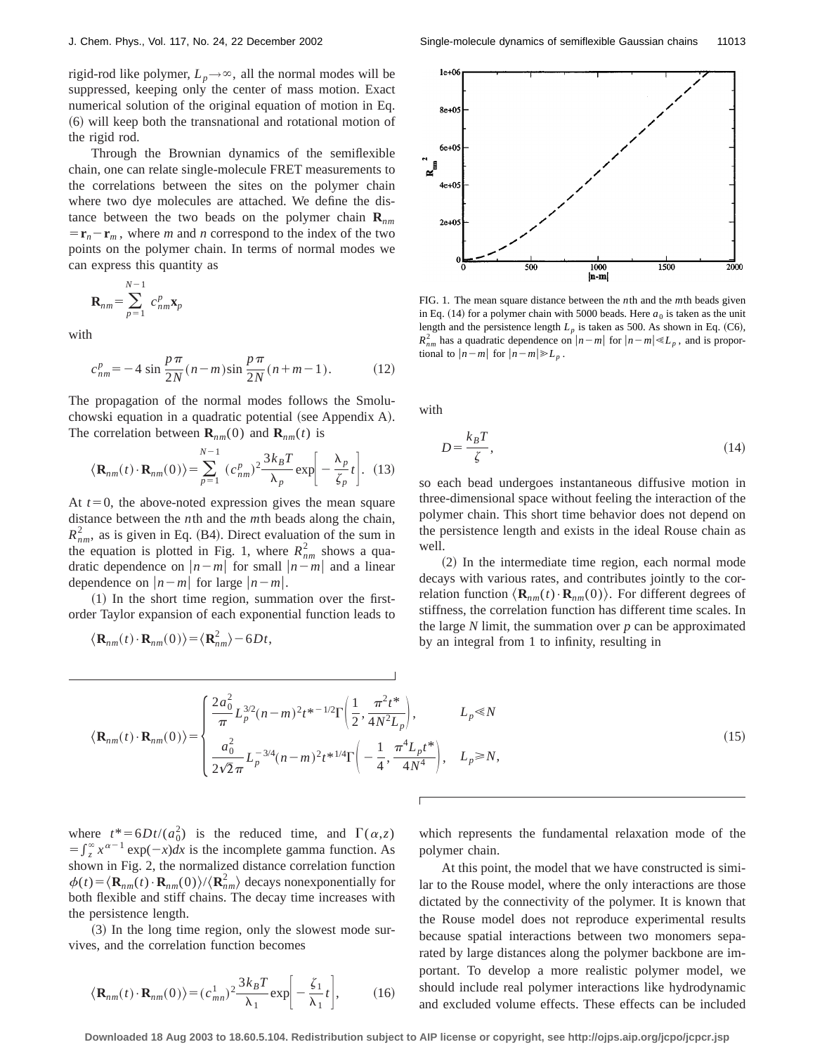rigid-rod like polymer,  $L_p \rightarrow \infty$ , all the normal modes will be suppressed, keeping only the center of mass motion. Exact numerical solution of the original equation of motion in Eq.  $(6)$  will keep both the transnational and rotational motion of the rigid rod.

Through the Brownian dynamics of the semiflexible chain, one can relate single-molecule FRET measurements to the correlations between the sites on the polymer chain where two dye molecules are attached. We define the distance between the two beads on the polymer chain  $\mathbf{R}_{nm}$  $= \mathbf{r}_n - \mathbf{r}_m$ , where *m* and *n* correspond to the index of the two points on the polymer chain. In terms of normal modes we can express this quantity as

$$
\mathbf{R}_{nm} = \sum_{p=1}^{N-1} c_{nm}^p \mathbf{x}_p
$$

with

$$
c_{nm}^p = -4\sin\frac{p\pi}{2N}(n-m)\sin\frac{p\pi}{2N}(n+m-1). \tag{12}
$$

The propagation of the normal modes follows the Smoluchowski equation in a quadratic potential (see Appendix A). The correlation between  $\mathbf{R}_{nm}(0)$  and  $\mathbf{R}_{nm}(t)$  is

$$
\langle \mathbf{R}_{nm}(t) \cdot \mathbf{R}_{nm}(0) \rangle = \sum_{p=1}^{N-1} (c_{nm}^p)^2 \frac{3k_B T}{\lambda_p} \exp \bigg[ -\frac{\lambda_p}{\zeta_p} t \bigg]. \tag{13}
$$

At  $t=0$ , the above-noted expression gives the mean square distance between the *n*th and the *m*th beads along the chain,  $R<sub>nm</sub><sup>2</sup>$ , as is given in Eq. (B4). Direct evaluation of the sum in the equation is plotted in Fig. 1, where  $R_{nm}^2$  shows a quadratic dependence on  $|n-m|$  for small  $|n-m|$  and a linear dependence on  $|n-m|$  for large  $|n-m|$ .

 $(1)$  In the short time region, summation over the firstorder Taylor expansion of each exponential function leads to

$$
\langle \mathbf{R}_{nm}(t) \cdot \mathbf{R}_{nm}(0) \rangle = \langle \mathbf{R}_{nm}^2 \rangle - 6Dt,
$$



FIG. 1. The mean square distance between the *n*th and the *m*th beads given in Eq. (14) for a polymer chain with 5000 beads. Here  $a_0$  is taken as the unit length and the persistence length  $L_p$  is taken as 500. As shown in Eq. (C6),  $R_{nm}^2$  has a quadratic dependence on  $|n-m|$  for  $|n-m| \ll L_p$ , and is proportional to  $|n-m|$  for  $|n-m| \ge L_p$ .

with

$$
D = \frac{k_B T}{\zeta},\tag{14}
$$

so each bead undergoes instantaneous diffusive motion in three-dimensional space without feeling the interaction of the polymer chain. This short time behavior does not depend on the persistence length and exists in the ideal Rouse chain as well.

 $(2)$  In the intermediate time region, each normal mode decays with various rates, and contributes jointly to the correlation function  $\langle \mathbf{R}_{nm}(t) \cdot \mathbf{R}_{nm}(0) \rangle$ . For different degrees of stiffness, the correlation function has different time scales. In the large *N* limit, the summation over *p* can be approximated by an integral from 1 to infinity, resulting in

$$
\langle \mathbf{R}_{nm}(t) \cdot \mathbf{R}_{nm}(0) \rangle = \begin{cases} \frac{2a_0^2}{\pi} L_p^{3/2} (n-m)^2 t^{*-1/2} \Gamma\left(\frac{1}{2}, \frac{\pi^2 t^*}{4N^2 L_p}\right), & L_p \ll N \\ \frac{a_0^2}{2\sqrt{2}\pi} L_p^{-3/4} (n-m)^2 t^{*1/4} \Gamma\left(-\frac{1}{4}, \frac{\pi^4 L_p t^*}{4N^4}\right), & L_p \ge N, \end{cases}
$$
(15)

where  $t^* = 6Dt/(a_0^2)$  is the reduced time, and  $\Gamma(\alpha, z)$  $=\int_{z}^{\infty} x^{\alpha-1} \exp(-x) dx$  is the incomplete gamma function. As shown in Fig. 2, the normalized distance correlation function  $\phi(t) = \langle \mathbf{R}_{nm}(t) \cdot \mathbf{R}_{nm}(0) \rangle / \langle \mathbf{R}_{nm}^2 \rangle$  decays nonexponentially for both flexible and stiff chains. The decay time increases with the persistence length.

 $(3)$  In the long time region, only the slowest mode survives, and the correlation function becomes

$$
\langle \mathbf{R}_{nm}(t) \cdot \mathbf{R}_{nm}(0) \rangle = (c_{mn}^1)^2 \frac{3k_B T}{\lambda_1} \exp \bigg[ -\frac{\zeta_1}{\lambda_1} t \bigg],\tag{16}
$$

which represents the fundamental relaxation mode of the polymer chain.

At this point, the model that we have constructed is similar to the Rouse model, where the only interactions are those dictated by the connectivity of the polymer. It is known that the Rouse model does not reproduce experimental results because spatial interactions between two monomers separated by large distances along the polymer backbone are important. To develop a more realistic polymer model, we should include real polymer interactions like hydrodynamic and excluded volume effects. These effects can be included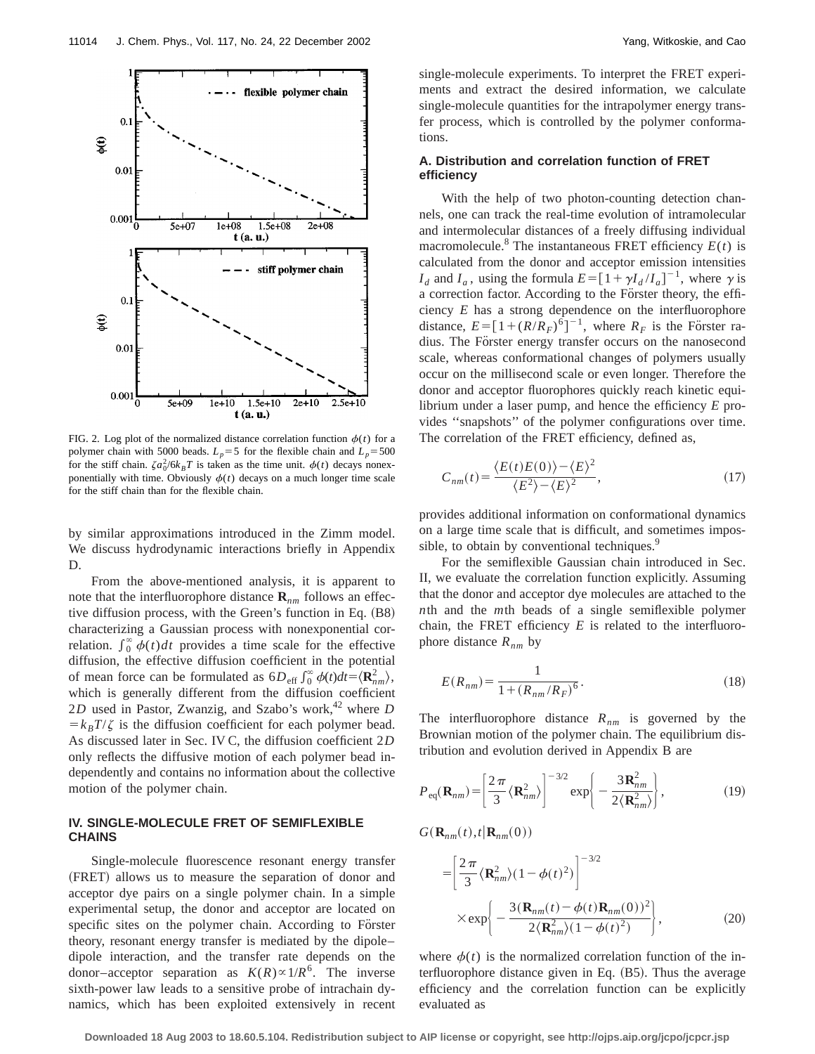

FIG. 2. Log plot of the normalized distance correlation function  $\phi(t)$  for a polymer chain with 5000 beads.  $L_p = 5$  for the flexible chain and  $L_p = 500$ for the stiff chain.  $\zeta a_0^2/6k_BT$  is taken as the time unit.  $\phi(t)$  decays nonexponentially with time. Obviously  $\phi(t)$  decays on a much longer time scale for the stiff chain than for the flexible chain.

by similar approximations introduced in the Zimm model. We discuss hydrodynamic interactions briefly in Appendix D.

From the above-mentioned analysis, it is apparent to note that the interfluorophore distance  $\mathbf{R}_{nm}$  follows an effective diffusion process, with the Green's function in Eq.  $(B8)$ characterizing a Gaussian process with nonexponential correlation.  $\int_0^{\infty} \phi(t) dt$  provides a time scale for the effective diffusion, the effective diffusion coefficient in the potential of mean force can be formulated as  $6D_{\text{eff}} \int_0^{\infty} \phi(t) dt = \langle \mathbf{R}_{nm}^2 \rangle$ , which is generally different from the diffusion coefficient 2*D* used in Pastor, Zwanzig, and Szabo's work,<sup>42</sup> where *D*  $=k_B T/\zeta$  is the diffusion coefficient for each polymer bead. As discussed later in Sec. IV C, the diffusion coefficient 2*D* only reflects the diffusive motion of each polymer bead independently and contains no information about the collective motion of the polymer chain.

# **IV. SINGLE-MOLECULE FRET OF SEMIFLEXIBLE CHAINS**

Single-molecule fluorescence resonant energy transfer (FRET) allows us to measure the separation of donor and acceptor dye pairs on a single polymer chain. In a simple experimental setup, the donor and acceptor are located on specific sites on the polymer chain. According to Förster theory, resonant energy transfer is mediated by the dipole– dipole interaction, and the transfer rate depends on the donor–acceptor separation as  $K(R) \propto 1/R^6$ . The inverse sixth-power law leads to a sensitive probe of intrachain dynamics, which has been exploited extensively in recent single-molecule experiments. To interpret the FRET experiments and extract the desired information, we calculate single-molecule quantities for the intrapolymer energy transfer process, which is controlled by the polymer conformations.

# **A. Distribution and correlation function of FRET efficiency**

With the help of two photon-counting detection channels, one can track the real-time evolution of intramolecular and intermolecular distances of a freely diffusing individual macromolecule.<sup>8</sup> The instantaneous FRET efficiency  $E(t)$  is calculated from the donor and acceptor emission intensities *I<sub>d</sub>* and *I<sub>a</sub>*, using the formula  $E = [1 + \gamma I_d / I_a]^{-1}$ , where  $\gamma$  is a correction factor. According to the Förster theory, the efficiency *E* has a strong dependence on the interfluorophore distance,  $E = [1 + (R/R_F)^6]^{-1}$ , where  $R_F$  is the Förster radius. The Förster energy transfer occurs on the nanosecond scale, whereas conformational changes of polymers usually occur on the millisecond scale or even longer. Therefore the donor and acceptor fluorophores quickly reach kinetic equilibrium under a laser pump, and hence the efficiency *E* provides ''snapshots'' of the polymer configurations over time. The correlation of the FRET efficiency, defined as,

$$
C_{nm}(t) = \frac{\langle E(t)E(0)\rangle - \langle E\rangle^2}{\langle E^2\rangle - \langle E\rangle^2},\tag{17}
$$

provides additional information on conformational dynamics on a large time scale that is difficult, and sometimes impossible, to obtain by conventional techniques.<sup>9</sup>

For the semiflexible Gaussian chain introduced in Sec. II, we evaluate the correlation function explicitly. Assuming that the donor and acceptor dye molecules are attached to the *n*th and the *m*th beads of a single semiflexible polymer chain, the FRET efficiency *E* is related to the interfluorophore distance  $R_{nm}$  by

$$
E(R_{nm}) = \frac{1}{1 + (R_{nm}/R_F)^6}.
$$
\n(18)

The interfluorophore distance  $R_{nm}$  is governed by the Brownian motion of the polymer chain. The equilibrium distribution and evolution derived in Appendix B are

$$
P_{\text{eq}}(\mathbf{R}_{nm}) = \left[\frac{2\pi}{3}\langle \mathbf{R}_{nm}^2 \rangle\right]^{-3/2} \exp\left\{-\frac{3\mathbf{R}_{nm}^2}{2\langle \mathbf{R}_{nm}^2 \rangle}\right\},\tag{19}
$$

$$
= \left[\frac{2\pi}{3}\langle \mathbf{R}_{nm}^2 \rangle (1 - \phi(t)^2) \right]^{-3/2}
$$
  
 
$$
\times \exp \left\{-\frac{3(\mathbf{R}_{nm}(t) - \phi(t)\mathbf{R}_{nm}(0))^2}{2\langle \mathbf{R}_{nm}^2 \rangle (1 - \phi(t)^2)}\right\},
$$
 (20)

where  $\phi(t)$  is the normalized correlation function of the interfluorophore distance given in Eq.  $(B5)$ . Thus the average efficiency and the correlation function can be explicitly evaluated as

 $G({\bf R}_{nm}(t),t|{\bf R}_{nm}(0))$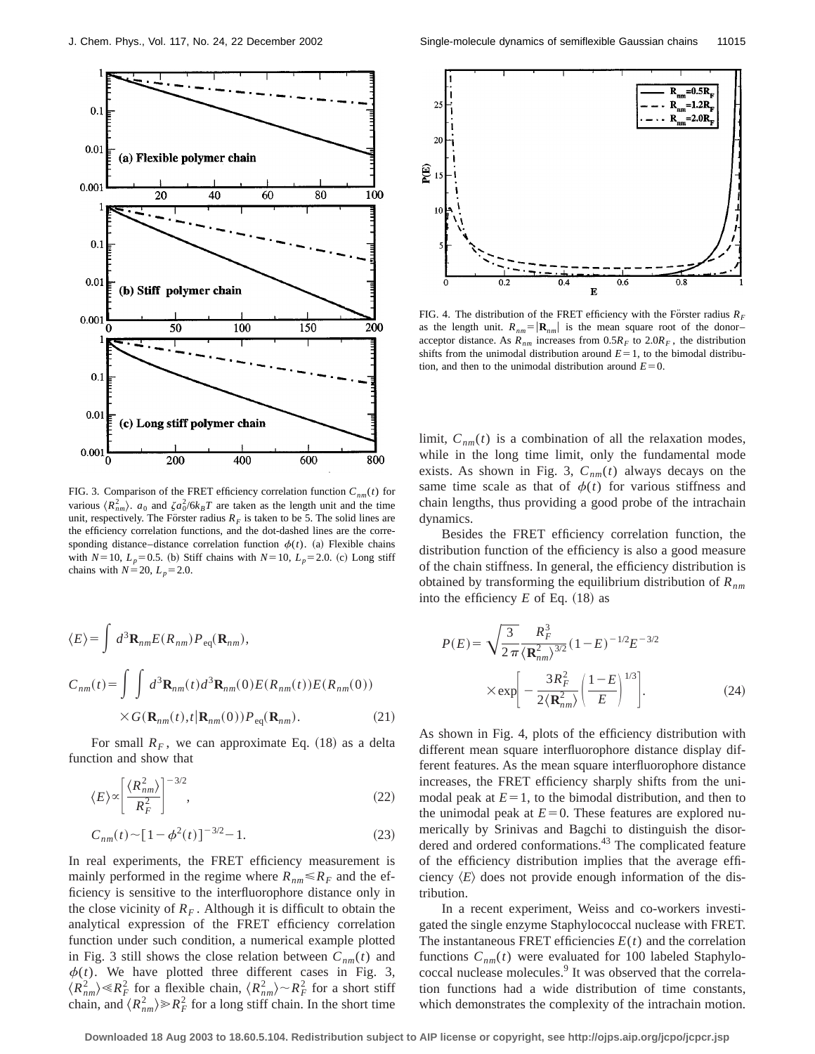

FIG. 3. Comparison of the FRET efficiency correlation function  $C_{nm}(t)$  for various  $\langle R_{nm}^2 \rangle$ .  $a_0$  and  $\zeta a_0^2/6k_BT$  are taken as the length unit and the time unit, respectively. The Förster radius  $R_F$  is taken to be 5. The solid lines are the efficiency correlation functions, and the dot-dashed lines are the corresponding distance–distance correlation function  $\phi(t)$ . (a) Flexible chains with  $N=10$ ,  $L_p=0.5$ . (b) Stiff chains with  $N=10$ ,  $L_p=2.0$ . (c) Long stiff chains with  $N=20, L_p=2.0$ .

$$
\langle E \rangle = \int d^3 \mathbf{R}_{nm} E(R_{nm}) P_{eq}(\mathbf{R}_{nm}),
$$
  
\n
$$
C_{nm}(t) = \int \int d^3 \mathbf{R}_{nm}(t) d^3 \mathbf{R}_{nm}(0) E(R_{nm}(t)) E(R_{nm}(0))
$$
  
\n
$$
\times G(\mathbf{R}_{nm}(t), t | \mathbf{R}_{nm}(0)) P_{eq}(\mathbf{R}_{nm}).
$$
\n(21)

For small  $R_F$ , we can approximate Eq. (18) as a delta function and show that

$$
\langle E \rangle \propto \left[ \frac{\langle R_{nm}^2 \rangle}{R_F^2} \right]^{-3/2},\tag{22}
$$

$$
C_{nm}(t) \sim [1 - \phi^2(t)]^{-3/2} - 1.
$$
 (23)

In real experiments, the FRET efficiency measurement is mainly performed in the regime where  $R_{nm} \le R_F$  and the efficiency is sensitive to the interfluorophore distance only in the close vicinity of  $R_F$ . Although it is difficult to obtain the analytical expression of the FRET efficiency correlation function under such condition, a numerical example plotted in Fig. 3 still shows the close relation between  $C_{nm}(t)$  and  $\phi(t)$ . We have plotted three different cases in Fig. 3,  $\langle R_{nm}^2 \rangle \ll R_F^2$  for a flexible chain,  $\langle R_{nm}^2 \rangle \sim R_F^2$  for a short stiff chain, and  $\langle R_{nm}^2 \rangle \gg R_F^2$  for a long stiff chain. In the short time



FIG. 4. The distribution of the FRET efficiency with the Förster radius  $R_F$ as the length unit.  $R_{nm} = |\mathbf{R}_{nm}|$  is the mean square root of the donor– acceptor distance. As  $R_{nm}$  increases from  $0.5R_F$  to  $2.0R_F$ , the distribution shifts from the unimodal distribution around  $E=1$ , to the bimodal distribution, and then to the unimodal distribution around  $E=0$ .

limit,  $C_{nm}(t)$  is a combination of all the relaxation modes, while in the long time limit, only the fundamental mode exists. As shown in Fig. 3,  $C_{nm}(t)$  always decays on the same time scale as that of  $\phi(t)$  for various stiffness and chain lengths, thus providing a good probe of the intrachain dynamics.

Besides the FRET efficiency correlation function, the distribution function of the efficiency is also a good measure of the chain stiffness. In general, the efficiency distribution is obtained by transforming the equilibrium distribution of *Rnm* into the efficiency  $E$  of Eq.  $(18)$  as

$$
P(E) = \sqrt{\frac{3}{2\pi}} \frac{R_F^3}{\langle \mathbf{R}_{nm}^2 \rangle^{3/2}} (1 - E)^{-1/2} E^{-3/2}
$$

$$
\times \exp\left[ -\frac{3R_F^2}{2\langle \mathbf{R}_{nm}^2 \rangle} \left( \frac{1 - E}{E} \right)^{1/3} \right].
$$
 (24)

As shown in Fig. 4, plots of the efficiency distribution with different mean square interfluorophore distance display different features. As the mean square interfluorophore distance increases, the FRET efficiency sharply shifts from the unimodal peak at  $E=1$ , to the bimodal distribution, and then to the unimodal peak at  $E=0$ . These features are explored numerically by Srinivas and Bagchi to distinguish the disordered and ordered conformations.43 The complicated feature of the efficiency distribution implies that the average efficiency  $\langle E \rangle$  does not provide enough information of the distribution.

In a recent experiment, Weiss and co-workers investigated the single enzyme Staphylococcal nuclease with FRET. The instantaneous FRET efficiencies  $E(t)$  and the correlation functions  $C_{nm}(t)$  were evaluated for 100 labeled Staphylococcal nuclease molecules.<sup>9</sup> It was observed that the correlation functions had a wide distribution of time constants, which demonstrates the complexity of the intrachain motion.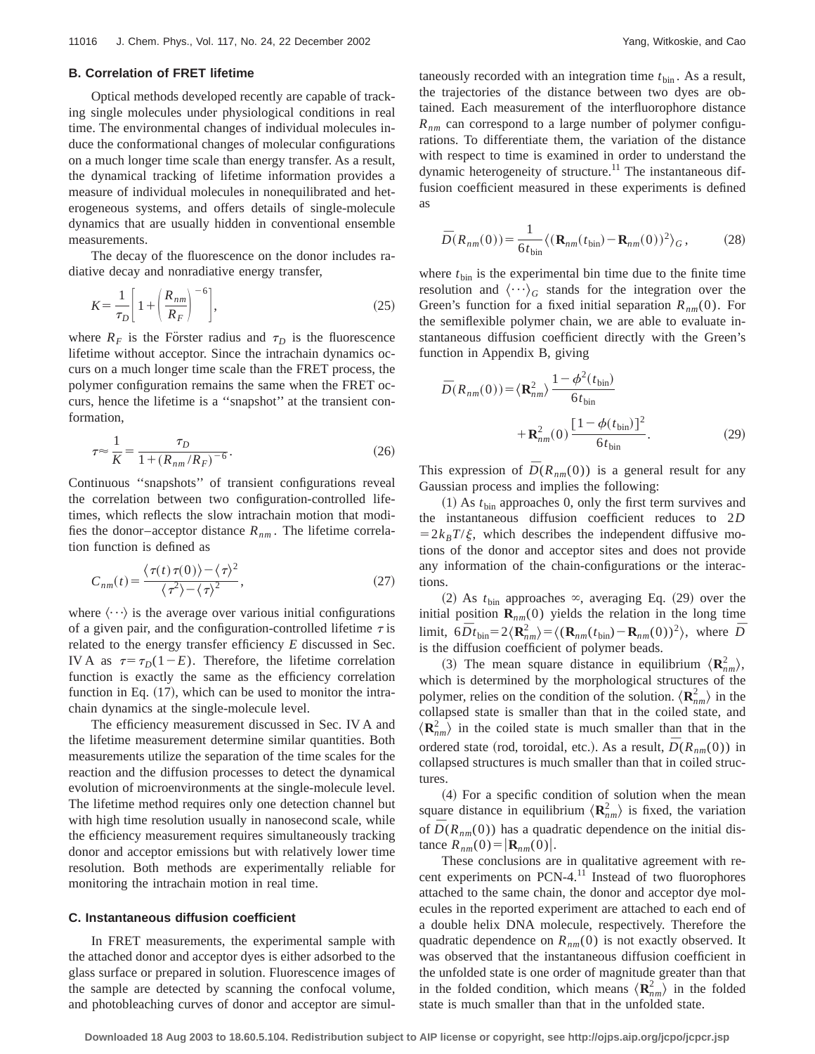### **B. Correlation of FRET lifetime**

Optical methods developed recently are capable of tracking single molecules under physiological conditions in real time. The environmental changes of individual molecules induce the conformational changes of molecular configurations on a much longer time scale than energy transfer. As a result, the dynamical tracking of lifetime information provides a measure of individual molecules in nonequilibrated and heterogeneous systems, and offers details of single-molecule dynamics that are usually hidden in conventional ensemble measurements.

The decay of the fluorescence on the donor includes radiative decay and nonradiative energy transfer,

$$
K = \frac{1}{\tau_D} \left[ 1 + \left( \frac{R_{nm}}{R_F} \right)^{-6} \right],\tag{25}
$$

where  $R_F$  is the Förster radius and  $\tau_D$  is the fluorescence lifetime without acceptor. Since the intrachain dynamics occurs on a much longer time scale than the FRET process, the polymer configuration remains the same when the FRET occurs, hence the lifetime is a ''snapshot'' at the transient conformation,

$$
\tau \approx \frac{1}{K} = \frac{\tau_D}{1 + (R_{nm}/R_F)^{-6}}.
$$
\n(26)

Continuous ''snapshots'' of transient configurations reveal the correlation between two configuration-controlled lifetimes, which reflects the slow intrachain motion that modifies the donor–acceptor distance  $R_{nm}$ . The lifetime correlation function is defined as

$$
C_{nm}(t) = \frac{\langle \tau(t)\,\tau(0)\rangle - \langle \tau \rangle^2}{\langle \tau^2 \rangle - \langle \tau \rangle^2},\tag{27}
$$

where  $\langle \cdots \rangle$  is the average over various initial configurations of a given pair, and the configuration-controlled lifetime  $\tau$  is related to the energy transfer efficiency *E* discussed in Sec. IV A as  $\tau = \tau_D(1-E)$ . Therefore, the lifetime correlation function is exactly the same as the efficiency correlation function in Eq.  $(17)$ , which can be used to monitor the intrachain dynamics at the single-molecule level.

The efficiency measurement discussed in Sec. IV A and the lifetime measurement determine similar quantities. Both measurements utilize the separation of the time scales for the reaction and the diffusion processes to detect the dynamical evolution of microenvironments at the single-molecule level. The lifetime method requires only one detection channel but with high time resolution usually in nanosecond scale, while the efficiency measurement requires simultaneously tracking donor and acceptor emissions but with relatively lower time resolution. Both methods are experimentally reliable for monitoring the intrachain motion in real time.

#### **C. Instantaneous diffusion coefficient**

In FRET measurements, the experimental sample with the attached donor and acceptor dyes is either adsorbed to the glass surface or prepared in solution. Fluorescence images of the sample are detected by scanning the confocal volume, and photobleaching curves of donor and acceptor are simultaneously recorded with an integration time  $t_{\text{bin}}$ . As a result, the trajectories of the distance between two dyes are obtained. Each measurement of the interfluorophore distance *Rnm* can correspond to a large number of polymer configurations. To differentiate them, the variation of the distance with respect to time is examined in order to understand the dynamic heterogeneity of structure.<sup>11</sup> The instantaneous diffusion coefficient measured in these experiments is defined as

$$
\bar{D}(R_{nm}(0)) = \frac{1}{6t_{\text{bin}}} \langle (\mathbf{R}_{nm}(t_{\text{bin}}) - \mathbf{R}_{nm}(0))^2 \rangle_G, \qquad (28)
$$

where  $t_{\text{bin}}$  is the experimental bin time due to the finite time resolution and  $\langle \cdots \rangle_G$  stands for the integration over the Green's function for a fixed initial separation  $R_{nm}(0)$ . For the semiflexible polymer chain, we are able to evaluate instantaneous diffusion coefficient directly with the Green's function in Appendix B, giving

$$
\bar{D}(R_{nm}(0)) = \langle \mathbf{R}_{nm}^2 \rangle \frac{1 - \phi^2(t_{\text{bin}})}{6t_{\text{bin}}} + \mathbf{R}_{nm}^2(0) \frac{[1 - \phi(t_{\text{bin}})]^2}{6t_{\text{bin}}}.
$$
\n(29)

This expression of  $\bar{D}(R_{nm}(0))$  is a general result for any Gaussian process and implies the following:

 $(1)$  As  $t_{\text{bin}}$  approaches 0, only the first term survives and the instantaneous diffusion coefficient reduces to 2*D*  $=2k_BT/\xi$ , which describes the independent diffusive motions of the donor and acceptor sites and does not provide any information of the chain-configurations or the interactions.

(2) As  $t_{\text{bin}}$  approaches  $\infty$ , averaging Eq. (29) over the initial position  $\mathbf{R}_{nm}(0)$  yields the relation in the long time  $\lim_{m \to \infty} \frac{1}{2} \sum_{\text{min}}^{\text{max}} \frac{1}{2} \left( \mathbf{R}_{nm} (\mathbf{r}_{\text{bin}}) - \mathbf{R}_{nm}(\mathbf{0}) \right)^2$ , where  $\overline{D}$ is the diffusion coefficient of polymer beads.

(3) The mean square distance in equilibrium  $\langle \mathbf{R}^2_{nm} \rangle$ , which is determined by the morphological structures of the polymer, relies on the condition of the solution.  $\langle \mathbf{R}^2_{nm} \rangle$  in the collapsed state is smaller than that in the coiled state, and  $\langle \mathbf{R}^2_{nm} \rangle$  in the coiled state is much smaller than that in the ordered state (rod, toroidal, etc.). As a result,  $\bar{D}(R_{nm}(0))$  in collapsed structures is much smaller than that in coiled structures.

 $(4)$  For a specific condition of solution when the mean square distance in equilibrium  $\langle \mathbf{R}^2_{nm} \rangle$  is fixed, the variation of  $\bar{D}(R_{nm}(0))$  has a quadratic dependence on the initial dis- $\text{tance } R_{nm}(0) = |\mathbf{R}_{nm}(0)|.$ 

These conclusions are in qualitative agreement with recent experiments on PCN-4.<sup>11</sup> Instead of two fluorophores attached to the same chain, the donor and acceptor dye molecules in the reported experiment are attached to each end of a double helix DNA molecule, respectively. Therefore the quadratic dependence on  $R_{nm}(0)$  is not exactly observed. It was observed that the instantaneous diffusion coefficient in the unfolded state is one order of magnitude greater than that in the folded condition, which means  $\langle \mathbf{R}^2_{nm} \rangle$  in the folded state is much smaller than that in the unfolded state.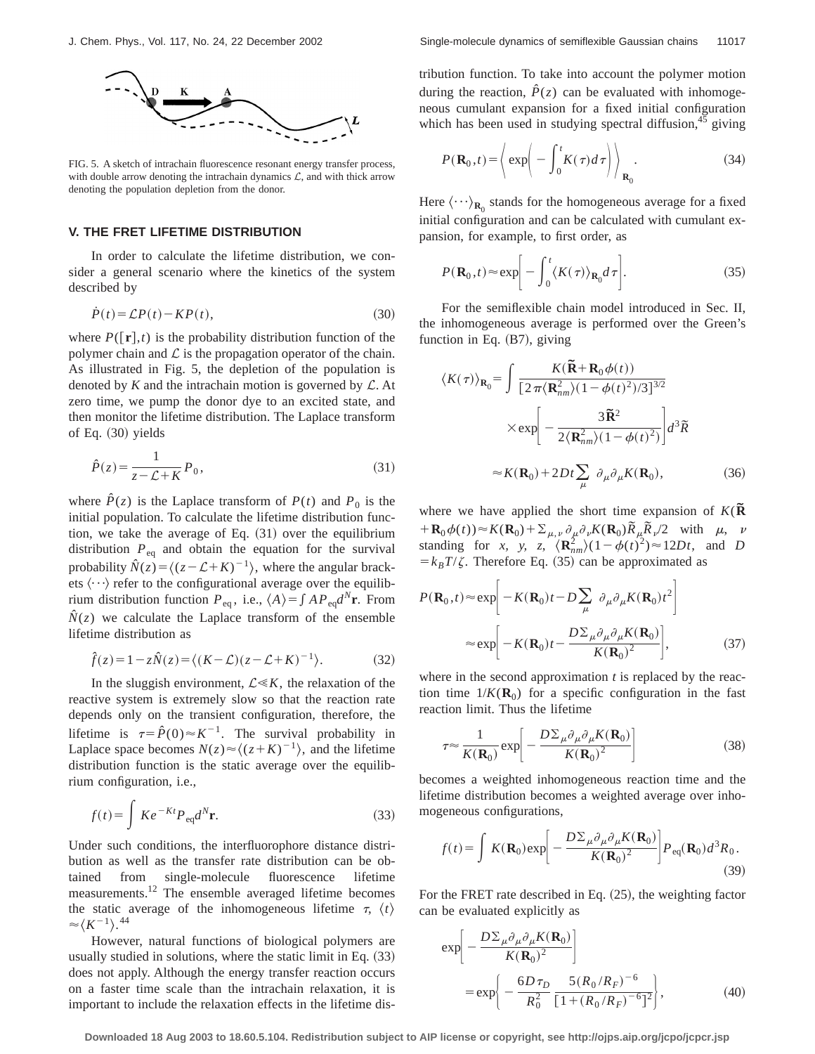

FIG. 5. A sketch of intrachain fluorescence resonant energy transfer process, with double arrow denoting the intrachain dynamics  $\mathcal{L}$ , and with thick arrow denoting the population depletion from the donor.

#### **V. THE FRET LIFETIME DISTRIBUTION**

In order to calculate the lifetime distribution, we consider a general scenario where the kinetics of the system described by

$$
\dot{P}(t) = \mathcal{L}P(t) - KP(t),\tag{30}
$$

where  $P(\mathbf{r},t)$  is the probability distribution function of the polymer chain and  $\mathcal L$  is the propagation operator of the chain. As illustrated in Fig. 5, the depletion of the population is denoted by  $K$  and the intrachain motion is governed by  $\mathcal{L}$ . At zero time, we pump the donor dye to an excited state, and then monitor the lifetime distribution. The Laplace transform of Eq.  $(30)$  yields

$$
\hat{P}(z) = \frac{1}{z - \mathcal{L} + K} P_0,\tag{31}
$$

where  $\hat{P}(z)$  is the Laplace transform of  $P(t)$  and  $P_0$  is the initial population. To calculate the lifetime distribution function, we take the average of Eq.  $(31)$  over the equilibrium distribution  $P_{eq}$  and obtain the equation for the survival probability  $\hat{N}(z) = \langle (z - \mathcal{L} + K)^{-1} \rangle$ , where the angular brackets  $\langle \cdots \rangle$  refer to the configurational average over the equilibrium distribution function  $P_{eq}$ , i.e.,  $\langle A \rangle = \int A P_{eq} d^N \mathbf{r}$ . From  $\hat{N}(z)$  we calculate the Laplace transform of the ensemble lifetime distribution as

$$
\hat{f}(z) = 1 - z\hat{N}(z) = \langle (K - \mathcal{L})(z - \mathcal{L} + K)^{-1} \rangle.
$$
 (32)

In the sluggish environment,  $\mathcal{L} \ll K$ , the relaxation of the reactive system is extremely slow so that the reaction rate depends only on the transient configuration, therefore, the lifetime is  $\tau = \hat{P}(0) \approx K^{-1}$ . The survival probability in Laplace space becomes  $N(z) \approx \langle (z+K)^{-1} \rangle$ , and the lifetime distribution function is the static average over the equilibrium configuration, i.e.,

$$
f(t) = \int K e^{-Kt} P_{\text{eq}} d^N \mathbf{r}.
$$
 (33)

Under such conditions, the interfluorophore distance distribution as well as the transfer rate distribution can be obtained from single-molecule fluorescence lifetime measurements.12 The ensemble averaged lifetime becomes the static average of the inhomogeneous lifetime  $\tau$ ,  $\langle t \rangle$  $\approx$   $\langle K^{-1} \rangle$ .<sup>44</sup>

However, natural functions of biological polymers are usually studied in solutions, where the static limit in Eq.  $(33)$ does not apply. Although the energy transfer reaction occurs on a faster time scale than the intrachain relaxation, it is important to include the relaxation effects in the lifetime distribution function. To take into account the polymer motion during the reaction,  $\hat{P}(z)$  can be evaluated with inhomogeneous cumulant expansion for a fixed initial configuration which has been used in studying spectral diffusion, $45$  giving

$$
P(\mathbf{R}_0, t) = \left\langle \exp\left(-\int_0^t K(\tau) d\tau \right) \right\rangle_{\mathbf{R}_0}.
$$
 (34)

Here  $\langle \cdots \rangle_{\mathbf{R}_0}$  stands for the homogeneous average for a fixed initial configuration and can be calculated with cumulant expansion, for example, to first order, as

$$
P(\mathbf{R}_0, t) \approx \exp\bigg[-\int_0^t \langle K(\tau) \rangle_{\mathbf{R}_0} d\tau\bigg].
$$
 (35)

For the semiflexible chain model introduced in Sec. II, the inhomogeneous average is performed over the Green's function in Eq.  $(B7)$ , giving

$$
\langle K(\tau) \rangle_{\mathbf{R}_0} = \int \frac{K(\mathbf{\tilde{R}} + \mathbf{R}_0 \phi(t))}{[2\pi(\mathbf{R}_{nm}^2)(1 - \phi(t)^2)/3]^{3/2}}
$$

$$
\times \exp\left[-\frac{3\mathbf{\tilde{R}}^2}{2\langle \mathbf{R}_{nm}^2 \rangle(1 - \phi(t)^2)}\right] d^3 \tilde{R}
$$

$$
\approx K(\mathbf{R}_0) + 2Dt \sum_{\mu} \partial_{\mu} \partial_{\mu} K(\mathbf{R}_0), \tag{36}
$$

where we have applied the short time expansion of  $K(\tilde{R})$  $+{\bf R}_0\phi(t) \approx K({\bf R}_0)+\sum_{\mu,\nu}\partial_\mu\partial_\nu K({\bf R}_0)\tilde{R}_\mu\tilde{R}_\nu/2$  with  $\mu,\nu$ standing for *x*, *y*, *z*,  $\langle \mathbf{R}_{nm}^2 \rangle (1 - \phi(t)^2) \approx 12Dt$ , and *D*  $=k_B T/\zeta$ . Therefore Eq. (35) can be approximated as

$$
P(\mathbf{R}_0, t) \approx \exp\left[-K(\mathbf{R}_0)t - D\sum_{\mu} \partial_{\mu} \partial_{\mu} K(\mathbf{R}_0)t^2\right]
$$

$$
\approx \exp\left[-K(\mathbf{R}_0)t - \frac{D\Sigma_{\mu} \partial_{\mu} \partial_{\mu} K(\mathbf{R}_0)}{K(\mathbf{R}_0)^2}\right],
$$
(37)

where in the second approximation *t* is replaced by the reaction time  $1/K(\mathbf{R}_0)$  for a specific configuration in the fast reaction limit. Thus the lifetime

$$
\tau \approx \frac{1}{K(\mathbf{R}_0)} \exp\left[-\frac{D \Sigma_{\mu} \partial_{\mu} \partial_{\mu} K(\mathbf{R}_0)}{K(\mathbf{R}_0)^2}\right]
$$
(38)

becomes a weighted inhomogeneous reaction time and the lifetime distribution becomes a weighted average over inhomogeneous configurations,

$$
f(t) = \int K(\mathbf{R}_0) \exp\left[-\frac{D \Sigma_{\mu} \partial_{\mu} \partial_{\mu} K(\mathbf{R}_0)}{K(\mathbf{R}_0)^2}\right] P_{\text{eq}}(\mathbf{R}_0) d^3 R_0.
$$
\n(39)

For the FRET rate described in Eq.  $(25)$ , the weighting factor can be evaluated explicitly as

$$
\exp\left[-\frac{D\Sigma_{\mu}\partial_{\mu}\delta_{\mu}K(\mathbf{R}_{0})}{K(\mathbf{R}_{0})^{2}}\right]
$$
  
= 
$$
\exp\left\{-\frac{6D\tau_{D}}{R_{0}^{2}}\frac{5(R_{0}/R_{F})^{-6}}{[1+(R_{0}/R_{F})^{-6}]^{2}}\right\},
$$
 (40)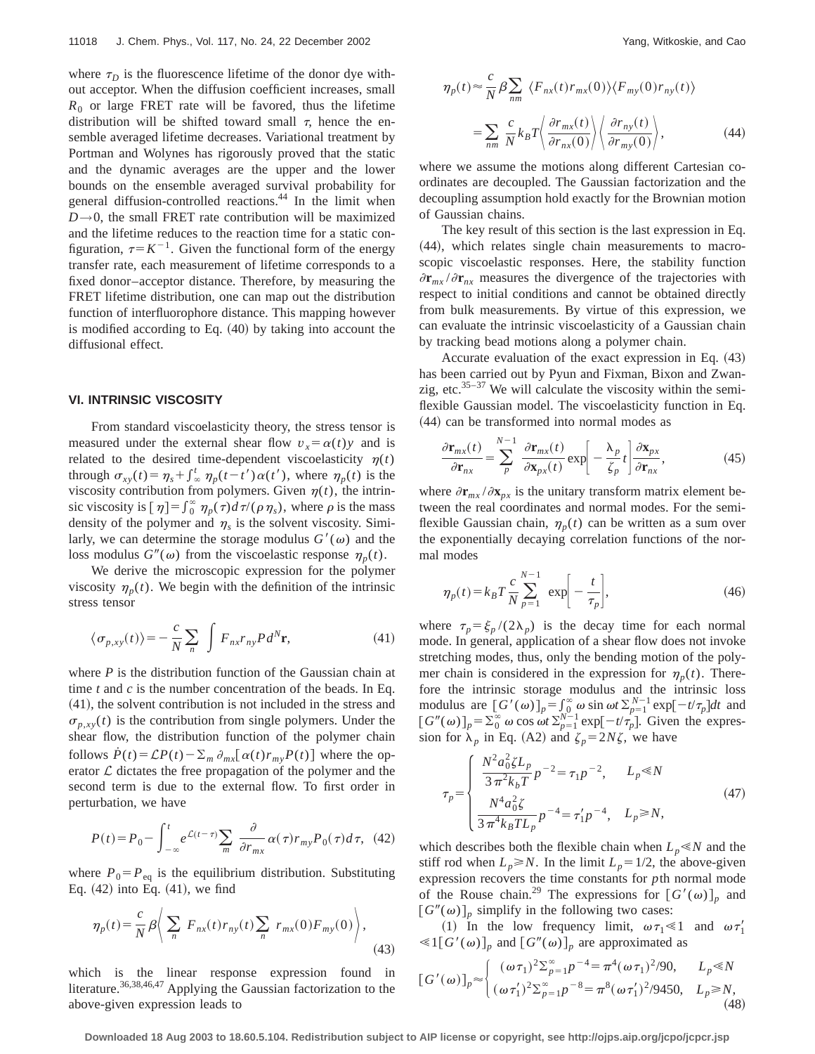where  $\tau_D$  is the fluorescence lifetime of the donor dye without acceptor. When the diffusion coefficient increases, small  $R_0$  or large FRET rate will be favored, thus the lifetime distribution will be shifted toward small  $\tau$ , hence the ensemble averaged lifetime decreases. Variational treatment by Portman and Wolynes has rigorously proved that the static and the dynamic averages are the upper and the lower bounds on the ensemble averaged survival probability for general diffusion-controlled reactions.<sup>44</sup> In the limit when  $D\rightarrow 0$ , the small FRET rate contribution will be maximized and the lifetime reduces to the reaction time for a static configuration,  $\tau = K^{-1}$ . Given the functional form of the energy transfer rate, each measurement of lifetime corresponds to a fixed donor–acceptor distance. Therefore, by measuring the FRET lifetime distribution, one can map out the distribution function of interfluorophore distance. This mapping however is modified according to Eq.  $(40)$  by taking into account the diffusional effect.

#### **VI. INTRINSIC VISCOSITY**

From standard viscoelasticity theory, the stress tensor is measured under the external shear flow  $v_x = \alpha(t)y$  and is related to the desired time-dependent viscoelasticity  $\eta(t)$ through  $\sigma_{xy}(t) = \eta_s + \int_{-\infty}^t \eta_p(t-t') \alpha(t')$ , where  $\eta_p(t)$  is the viscosity contribution from polymers. Given  $\eta(t)$ , the intrinsic viscosity is  $[\eta] = \int_0^\infty \eta_p(\tau) d\tau/(\rho \eta_s)$ , where  $\rho$  is the mass density of the polymer and  $\eta_s$  is the solvent viscosity. Similarly, we can determine the storage modulus  $G'(\omega)$  and the loss modulus  $G''(\omega)$  from the viscoelastic response  $\eta_n(t)$ .

We derive the microscopic expression for the polymer viscosity  $\eta_p(t)$ . We begin with the definition of the intrinsic stress tensor

$$
\langle \sigma_{p,xy}(t) \rangle = -\frac{c}{N} \sum_{n} \int F_{nx} r_{ny} P d^{N} \mathbf{r}, \qquad (41)
$$

where *P* is the distribution function of the Gaussian chain at time *t* and *c* is the number concentration of the beads. In Eq.  $(41)$ , the solvent contribution is not included in the stress and  $\sigma_{p,xy}(t)$  is the contribution from single polymers. Under the shear flow, the distribution function of the polymer chain follows  $\dot{P}(t) = \mathcal{L}P(t) - \sum_m \partial_{mx}[\alpha(t)r_{my}P(t)]$  where the operator  $\mathcal L$  dictates the free propagation of the polymer and the second term is due to the external flow. To first order in perturbation, we have

$$
P(t) = P_0 - \int_{-\infty}^t e^{\mathcal{L}(t-\tau)} \sum_m \frac{\partial}{\partial r_{mx}} \alpha(\tau) r_{my} P_0(\tau) d\tau, \tag{42}
$$

where  $P_0 = P_{eq}$  is the equilibrium distribution. Substituting Eq.  $(42)$  into Eq.  $(41)$ , we find

$$
\eta_p(t) = \frac{c}{N} \beta \left( \sum_n F_{nx}(t) r_{ny}(t) \sum_n r_{mx}(0) F_{my}(0) \right), \tag{43}
$$

which is the linear response expression found in literature.<sup>36,38,46,47</sup> Applying the Gaussian factorization to the above-given expression leads to

$$
\eta_p(t) \approx \frac{c}{N} \beta \sum_{nm} \langle F_{nx}(t) r_{mx}(0) \rangle \langle F_{my}(0) r_{ny}(t) \rangle
$$

$$
= \sum_{nm} \frac{c}{N} k_B T \left\langle \frac{\partial r_{mx}(t)}{\partial r_{nx}(0)} \right\rangle \left\langle \frac{\partial r_{ny}(t)}{\partial r_{my}(0)} \right\rangle, \tag{44}
$$

where we assume the motions along different Cartesian coordinates are decoupled. The Gaussian factorization and the decoupling assumption hold exactly for the Brownian motion of Gaussian chains.

The key result of this section is the last expression in Eq.  $(44)$ , which relates single chain measurements to macroscopic viscoelastic responses. Here, the stability function  $\partial \mathbf{r}_{mx} / \partial \mathbf{r}_{nx}$  measures the divergence of the trajectories with respect to initial conditions and cannot be obtained directly from bulk measurements. By virtue of this expression, we can evaluate the intrinsic viscoelasticity of a Gaussian chain by tracking bead motions along a polymer chain.

Accurate evaluation of the exact expression in Eq.  $(43)$ has been carried out by Pyun and Fixman, Bixon and Zwanzig, etc. $35-37$  We will calculate the viscosity within the semiflexible Gaussian model. The viscoelasticity function in Eq.  $(44)$  can be transformed into normal modes as

$$
\frac{\partial \mathbf{r}_{mx}(t)}{\partial \mathbf{r}_{nx}} = \sum_{p}^{N-1} \frac{\partial \mathbf{r}_{mx}(t)}{\partial \mathbf{x}_{px}(t)} \exp\bigg[-\frac{\lambda_p}{\zeta_p} t\bigg] \frac{\partial \mathbf{x}_{px}}{\partial \mathbf{r}_{nx}},\tag{45}
$$

where  $\partial \mathbf{r}_{mx} / \partial \mathbf{x}_{px}$  is the unitary transform matrix element between the real coordinates and normal modes. For the semiflexible Gaussian chain,  $\eta_p(t)$  can be written as a sum over the exponentially decaying correlation functions of the normal modes

$$
\eta_p(t) = k_B T \frac{c}{N} \sum_{p=1}^{N-1} \exp\bigg[-\frac{t}{\tau_p}\bigg],\tag{46}
$$

where  $\tau_p = \xi_p / (2\lambda_p)$  is the decay time for each normal mode. In general, application of a shear flow does not invoke stretching modes, thus, only the bending motion of the polymer chain is considered in the expression for  $\eta_p(t)$ . Therefore the intrinsic storage modulus and the intrinsic loss modulus are  $[G'(\omega)]_p = \int_{0}^{\infty} \omega \sin \omega t \sum_{p=1}^{N-1} \exp[-t/\tau_p] dt$  and  $[G''(\omega)]_p = \sum_{0}^{\infty} \omega \cos \omega t \sum_{p=1}^{N-1} \exp[-t/\tau_p]$ . Given the expression for  $\lambda_p$  in Eq. (A2) and  $\zeta_p = 2N\zeta$ , we have

$$
\tau_p = \begin{cases}\n\frac{N^2 a_0^2 \zeta L_p}{3 \pi^2 k_b T} p^{-2} = \tau_1 p^{-2}, & L_p \ll N \\
\frac{N^4 a_0^2 \zeta}{3 \pi^4 k_b T L_p} p^{-4} = \tau_1' p^{-4}, & L_p \ge N,\n\end{cases} (47)
$$

which describes both the flexible chain when  $L_p \ll N$  and the stiff rod when  $L_p \ge N$ . In the limit  $L_p = 1/2$ , the above-given expression recovers the time constants for *p*th normal mode of the Rouse chain.<sup>29</sup> The expressions for  $[G'(\omega)]_n$  and  $[G''(\omega)]_p$  simplify in the following two cases:

(1) In the low frequency limit,  $\omega \tau_1 \ll 1$  and  $\omega \tau_1'$  $\ll 1[G'(\omega)]_p$  and  $[G''(\omega)]_p$  are approximated as

$$
[G'(\omega)]_p \approx \begin{cases} (\omega \tau_1)^2 \sum_{p=1}^{\infty} p^{-4} = \pi^4 (\omega \tau_1)^2 / 90, & L_p \ll N \\ (\omega \tau_1')^2 \sum_{p=1}^{\infty} p^{-8} = \pi^8 (\omega \tau_1')^2 / 9450, & L_p \ge N, \end{cases}
$$
(48)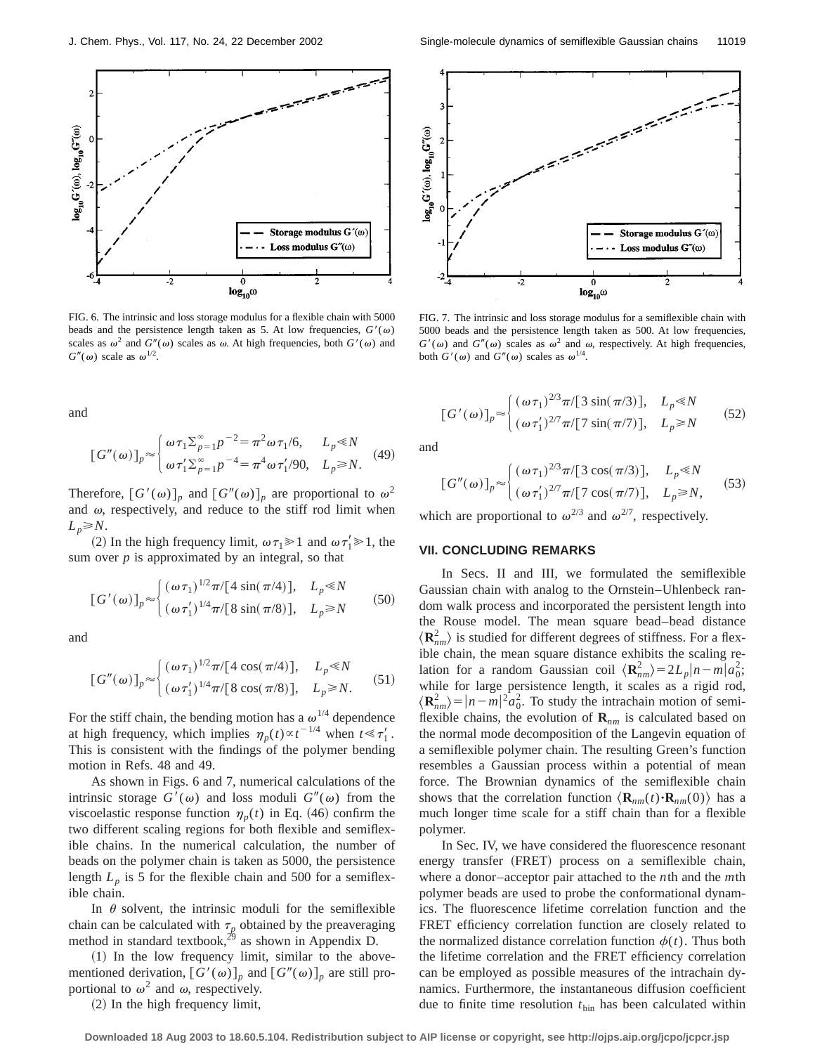

FIG. 6. The intrinsic and loss storage modulus for a flexible chain with 5000 beads and the persistence length taken as 5. At low frequencies,  $G'(\omega)$ scales as  $\omega^2$  and  $G''(\omega)$  scales as  $\omega$ . At high frequencies, both  $G'(\omega)$  and  $G''(\omega)$  scale as  $\omega^{1/2}$ .

and

$$
[G''(\omega)]_p \approx \begin{cases} \omega \tau_1 \Sigma_{p=1}^{\infty} p^{-2} = \pi^2 \omega \tau_1/6, & L_p \ll N \\ \omega \tau_1' \Sigma_{p=1}^{\infty} p^{-4} = \pi^4 \omega \tau_1'/90, & L_p \ge N. \end{cases}
$$
(49)

Therefore,  $[G'(\omega)]_p$  and  $[G''(\omega)]_p$  are proportional to  $\omega^2$ and  $\omega$ , respectively, and reduce to the stiff rod limit when  $L_p \ge N$ .

(2) In the high frequency limit,  $\omega \tau_1 \geq 1$  and  $\omega \tau_1' \geq 1$ , the sum over *p* is approximated by an integral, so that

$$
[G'(\omega)]_p \approx \begin{cases} (\omega \tau_1)^{1/2} \pi / [4 \sin(\pi/4)], & L_p \ll N \\ (\omega \tau_1')^{1/4} \pi / [8 \sin(\pi/8)], & L_p \ge N \end{cases} \tag{50}
$$

and

$$
[G''(\omega)]_p \approx \begin{cases} (\omega \tau_1)^{1/2} \pi / [4 \cos(\pi/4)], & L_p \ll N \\ (\omega \tau_1')^{1/4} \pi / [8 \cos(\pi/8)], & L_p \ge N. \end{cases}
$$
 (51)

For the stiff chain, the bending motion has a  $\omega^{1/4}$  dependence at high frequency, which implies  $\eta_p(t) \propto t^{-1/4}$  when  $t \ll \tau'_1$ . This is consistent with the findings of the polymer bending motion in Refs. 48 and 49.

As shown in Figs. 6 and 7, numerical calculations of the intrinsic storage  $G'(\omega)$  and loss moduli  $G''(\omega)$  from the viscoelastic response function  $\eta_p(t)$  in Eq. (46) confirm the two different scaling regions for both flexible and semiflexible chains. In the numerical calculation, the number of beads on the polymer chain is taken as 5000, the persistence length  $L_p$  is 5 for the flexible chain and 500 for a semiflexible chain.

In  $\theta$  solvent, the intrinsic moduli for the semiflexible chain can be calculated with  $\tau_p$  obtained by the preaveraging method in standard textbook, $^{29}$  as shown in Appendix D.

 $(1)$  In the low frequency limit, similar to the abovementioned derivation,  $[G'(\omega)]_p$  and  $[G''(\omega)]_p$  are still proportional to  $\omega^2$  and  $\omega$ , respectively.

(2) In the high frequency limit,



FIG. 7. The intrinsic and loss storage modulus for a semiflexible chain with 5000 beads and the persistence length taken as 500. At low frequencies,  $G'(\omega)$  and  $G''(\omega)$  scales as  $\omega^2$  and  $\omega$ , respectively. At high frequencies, both  $G'(\omega)$  and  $G''(\omega)$  scales as  $\omega^{1/4}$ .

$$
[G'(\omega)]_p \approx \begin{cases} (\omega \tau_1)^{2/3} \pi/[3 \sin(\pi/3)], & L_p \ll N \\ (\omega \tau_1')^{2/7} \pi/[7 \sin(\pi/7)], & L_p \ge N \end{cases}
$$
 (52)

and

$$
\begin{bmatrix} G''(\omega) \end{bmatrix}_p \approx \begin{cases} (\omega \tau_1)^{2/3} \pi / [3 \cos(\pi/3)], & L_p \ll N \\ (\omega \tau_1')^{2/7} \pi / [7 \cos(\pi/7)], & L_p \ge N, \end{cases} \tag{53}
$$

which are proportional to  $\omega^{2/3}$  and  $\omega^{2/7}$ , respectively.

## **VII. CONCLUDING REMARKS**

In Secs. II and III, we formulated the semiflexible Gaussian chain with analog to the Ornstein–Uhlenbeck random walk process and incorporated the persistent length into the Rouse model. The mean square bead–bead distance  $\langle \mathbf{R}^2_{nm} \rangle$  is studied for different degrees of stiffness. For a flexible chain, the mean square distance exhibits the scaling relation for a random Gaussian coil  $\langle \mathbf{R}_{nm}^2 \rangle = 2L_p |n-m| a_0^2$ ; while for large persistence length, it scales as a rigid rod,  $\langle \mathbf{R}^2_{nm} \rangle = |n-m|^2 a_0^2$ . To study the intrachain motion of semiflexible chains, the evolution of  $\mathbf{R}_{nm}$  is calculated based on the normal mode decomposition of the Langevin equation of a semiflexible polymer chain. The resulting Green's function resembles a Gaussian process within a potential of mean force. The Brownian dynamics of the semiflexible chain shows that the correlation function  $\langle \mathbf{R}_{nm}(t) \cdot \mathbf{R}_{nm}(0) \rangle$  has a much longer time scale for a stiff chain than for a flexible polymer.

In Sec. IV, we have considered the fluorescence resonant energy transfer (FRET) process on a semiflexible chain, where a donor–acceptor pair attached to the *n*th and the *m*th polymer beads are used to probe the conformational dynamics. The fluorescence lifetime correlation function and the FRET efficiency correlation function are closely related to the normalized distance correlation function  $\phi(t)$ . Thus both the lifetime correlation and the FRET efficiency correlation can be employed as possible measures of the intrachain dynamics. Furthermore, the instantaneous diffusion coefficient due to finite time resolution  $t_{\text{bin}}$  has been calculated within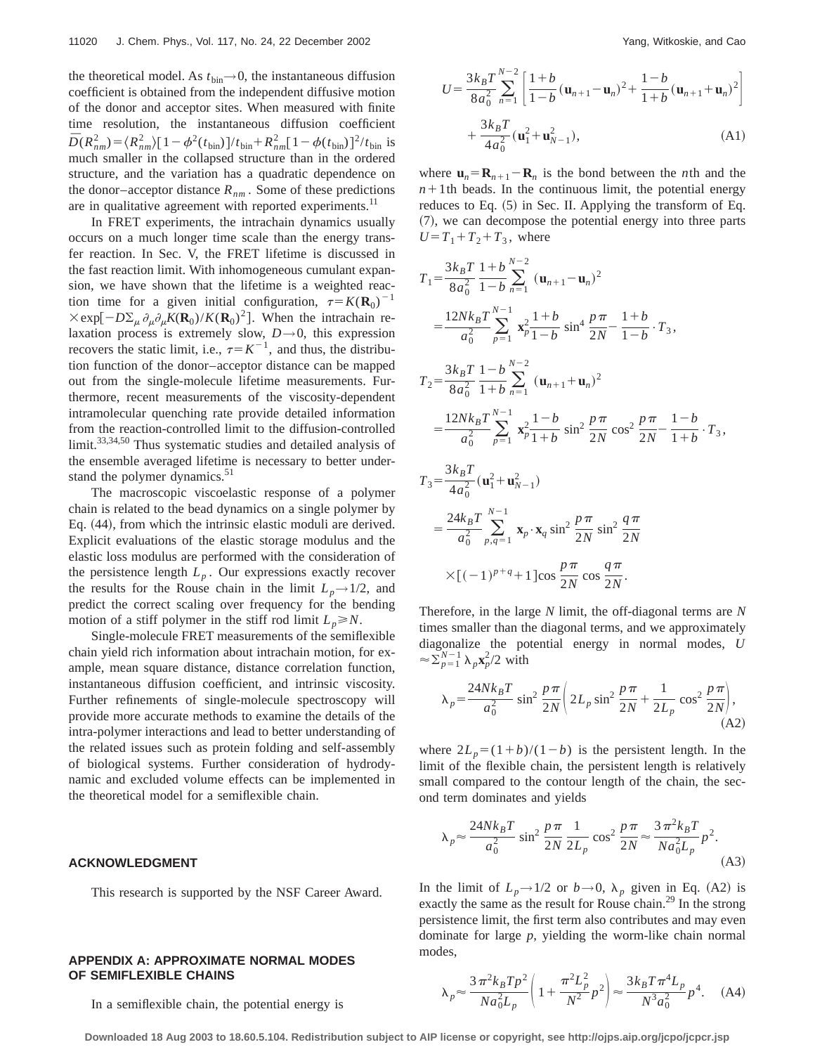the theoretical model. As  $t_{\text{bin}} \rightarrow 0$ , the instantaneous diffusion coefficient is obtained from the independent diffusive motion of the donor and acceptor sites. When measured with finite time resolution, the instantaneous diffusion coefficient  $\bar{D}(R_{nm}^2) = \langle R_{nm}^2 \rangle \left[1 - \phi^2(t_{\text{bin}})\right] / t_{\text{bin}} + R_{nm}^2 \left[1 - \phi(t_{\text{bin}})^2\right] / t_{\text{bin}}$  is much smaller in the collapsed structure than in the ordered structure, and the variation has a quadratic dependence on the donor–acceptor distance  $R_{nm}$ . Some of these predictions are in qualitative agreement with reported experiments.<sup>11</sup>

In FRET experiments, the intrachain dynamics usually occurs on a much longer time scale than the energy transfer reaction. In Sec. V, the FRET lifetime is discussed in the fast reaction limit. With inhomogeneous cumulant expansion, we have shown that the lifetime is a weighted reaction time for a given initial configuration,  $\tau = K(\mathbf{R}_0)^{-1}$  $\times$ exp[ $-D\Sigma_{\mu} \partial_{\mu} \partial_{\mu} K(\mathbf{R}_0)/K(\mathbf{R}_0)^2$ ]. When the intrachain relaxation process is extremely slow,  $D\rightarrow 0$ , this expression recovers the static limit, i.e.,  $\tau = K^{-1}$ , and thus, the distribution function of the donor–acceptor distance can be mapped out from the single-molecule lifetime measurements. Furthermore, recent measurements of the viscosity-dependent intramolecular quenching rate provide detailed information from the reaction-controlled limit to the diffusion-controlled limit.33,34,50 Thus systematic studies and detailed analysis of the ensemble averaged lifetime is necessary to better understand the polymer dynamics.<sup>51</sup>

The macroscopic viscoelastic response of a polymer chain is related to the bead dynamics on a single polymer by Eq. (44), from which the intrinsic elastic moduli are derived. Explicit evaluations of the elastic storage modulus and the elastic loss modulus are performed with the consideration of the persistence length  $L_p$ . Our expressions exactly recover the results for the Rouse chain in the limit  $L_p \rightarrow 1/2$ , and predict the correct scaling over frequency for the bending motion of a stiff polymer in the stiff rod limit  $L_p \ge N$ .

Single-molecule FRET measurements of the semiflexible chain yield rich information about intrachain motion, for example, mean square distance, distance correlation function, instantaneous diffusion coefficient, and intrinsic viscosity. Further refinements of single-molecule spectroscopy will provide more accurate methods to examine the details of the intra-polymer interactions and lead to better understanding of the related issues such as protein folding and self-assembly of biological systems. Further consideration of hydrodynamic and excluded volume effects can be implemented in the theoretical model for a semiflexible chain.

#### **ACKNOWLEDGMENT**

This research is supported by the NSF Career Award.

## **APPENDIX A: APPROXIMATE NORMAL MODES OF SEMIFLEXIBLE CHAINS**

In a semiflexible chain, the potential energy is

$$
U = \frac{3k_B T}{8a_0^2} \sum_{n=1}^{N-2} \left[ \frac{1+b}{1-b} (\mathbf{u}_{n+1} - \mathbf{u}_n)^2 + \frac{1-b}{1+b} (\mathbf{u}_{n+1} + \mathbf{u}_n)^2 \right] + \frac{3k_B T}{4a_0^2} (\mathbf{u}_1^2 + \mathbf{u}_{N-1}^2),
$$
 (A1)

where  $\mathbf{u}_n = \mathbf{R}_{n+1} - \mathbf{R}_n$  is the bond between the *n*th and the  $n+1$ th beads. In the continuous limit, the potential energy reduces to Eq.  $(5)$  in Sec. II. Applying the transform of Eq. ~7!, we can decompose the potential energy into three parts  $U = T_1 + T_2 + T_3$ , where

$$
T_{1} = \frac{3k_{B}T}{8a_{0}^{2}} \frac{1+b}{1-b} \sum_{n=1}^{N-2} (\mathbf{u}_{n+1} - \mathbf{u}_{n})^{2}
$$
  
\n
$$
= \frac{12Nk_{B}T}{a_{0}^{2}} \sum_{p=1}^{N-1} \mathbf{x}_{p}^{2} \frac{1+b}{1-b} \sin^{4} \frac{p\pi}{2N} - \frac{1+b}{1-b} \cdot T_{3},
$$
  
\n
$$
T_{2} = \frac{3k_{B}T}{8a_{0}^{2}} \frac{1-b}{1+b} \sum_{n=1}^{N-2} (\mathbf{u}_{n+1} + \mathbf{u}_{n})^{2}
$$
  
\n
$$
= \frac{12Nk_{B}T}{a_{0}^{2}} \sum_{p=1}^{N-1} \mathbf{x}_{p}^{2} \frac{1-b}{1+b} \sin^{2} \frac{p\pi}{2N} \cos^{2} \frac{p\pi}{2N} - \frac{1-b}{1+b} \cdot T_{3},
$$
  
\n
$$
T_{3} = \frac{3k_{B}T}{4a_{0}^{2}} (\mathbf{u}_{1}^{2} + \mathbf{u}_{N-1}^{2})
$$
  
\n
$$
= \frac{24k_{B}T}{a_{0}^{2}} \sum_{p,q=1}^{N-1} \mathbf{x}_{p} \cdot \mathbf{x}_{q} \sin^{2} \frac{p\pi}{2N} \sin^{2} \frac{q\pi}{2N}
$$
  
\n
$$
\times [(-1)^{p+q} + 1] \cos \frac{p\pi}{2N} \cos \frac{q\pi}{2N}.
$$

Therefore, in the large *N* limit, the off-diagonal terms are *N* times smaller than the diagonal terms, and we approximately diagonalize the potential energy in normal modes, *U*  $\approx \sum_{p=1}^{N-1} \lambda_p \mathbf{x}_p^2/2$  with

$$
\lambda_{p} = \frac{24Nk_{B}T}{a_{0}^{2}} \sin^{2} \frac{p \pi}{2N} \left( 2L_{p} \sin^{2} \frac{p \pi}{2N} + \frac{1}{2L_{p}} \cos^{2} \frac{p \pi}{2N} \right),\tag{A2}
$$

where  $2L_p = (1+b)/(1-b)$  is the persistent length. In the limit of the flexible chain, the persistent length is relatively small compared to the contour length of the chain, the second term dominates and yields

$$
\lambda_p \approx \frac{24Nk_B T}{a_0^2} \sin^2 \frac{p \pi}{2N} \frac{1}{2L_p} \cos^2 \frac{p \pi}{2N} \approx \frac{3 \pi^2 k_B T}{N a_0^2 L_p} p^2.
$$
\n(A3)

In the limit of  $L_p \rightarrow 1/2$  or  $b \rightarrow 0$ ,  $\lambda_p$  given in Eq. (A2) is exactly the same as the result for Rouse chain.<sup>29</sup> In the strong persistence limit, the first term also contributes and may even dominate for large *p*, yielding the worm-like chain normal modes,

$$
\lambda_p \approx \frac{3\pi^2 k_B T p^2}{N a_0^2 L_p} \left( 1 + \frac{\pi^2 L_p^2}{N^2} p^2 \right) \approx \frac{3k_B T \pi^4 L_p}{N^3 a_0^2} p^4. \quad (A4)
$$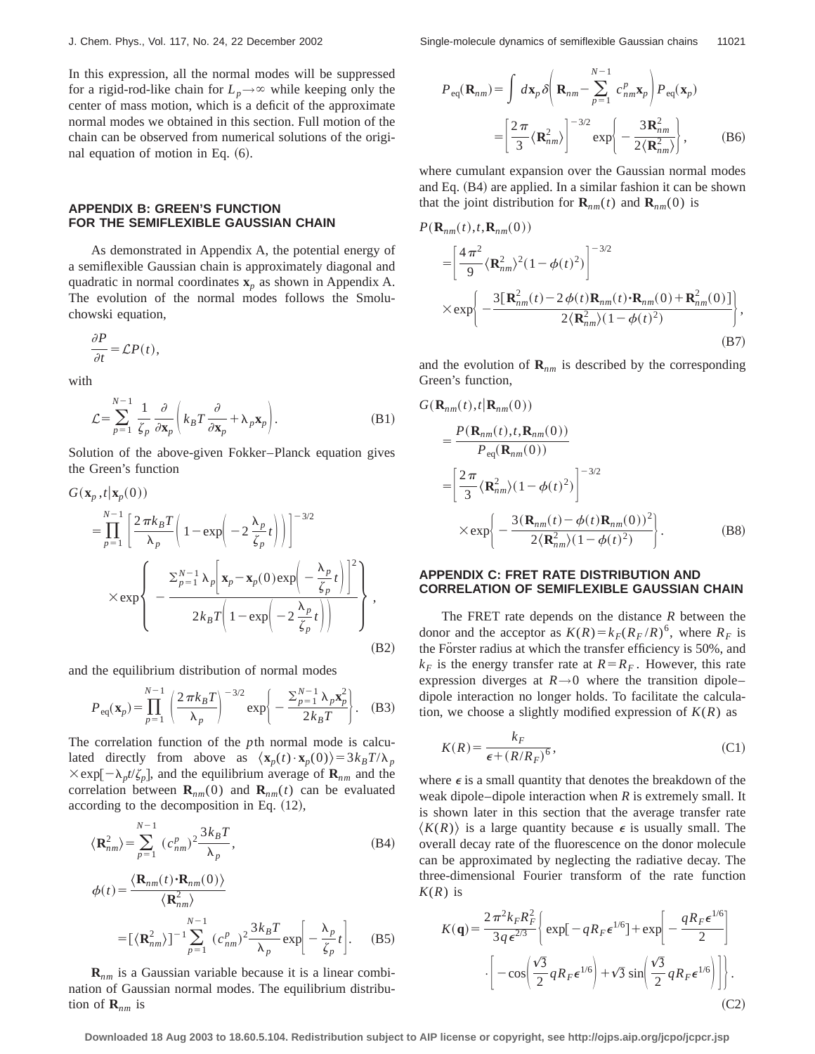In this expression, all the normal modes will be suppressed for a rigid-rod-like chain for  $L_p \rightarrow \infty$  while keeping only the center of mass motion, which is a deficit of the approximate normal modes we obtained in this section. Full motion of the chain can be observed from numerical solutions of the original equation of motion in Eq.  $(6)$ .

## **APPENDIX B: GREEN'S FUNCTION FOR THE SEMIFLEXIBLE GAUSSIAN CHAIN**

As demonstrated in Appendix A, the potential energy of a semiflexible Gaussian chain is approximately diagonal and quadratic in normal coordinates  $\mathbf{x}_p$  as shown in Appendix A. The evolution of the normal modes follows the Smoluchowski equation,

$$
\frac{\partial P}{\partial t} = \mathcal{L}P(t),
$$

with

$$
\mathcal{L} = \sum_{p=1}^{N-1} \frac{1}{\zeta_p} \frac{\partial}{\partial \mathbf{x}_p} \left( k_B T \frac{\partial}{\partial \mathbf{x}_p} + \lambda_p \mathbf{x}_p \right).
$$
 (B1)

Solution of the above-given Fokker–Planck equation gives the Green's function

$$
G(\mathbf{x}_p, t | \mathbf{x}_p(0))
$$
  
=  $\prod_{p=1}^{N-1} \left[ \frac{2 \pi k_B T}{\lambda_p} \left( 1 - \exp\left( -2 \frac{\lambda_p}{\zeta_p} t \right) \right) \right]^{-3/2}$   

$$
\times \exp\left\{ -\frac{\sum_{p=1}^{N-1} \lambda_p \left[ \mathbf{x}_p - \mathbf{x}_p(0) \exp\left( -\frac{\lambda_p}{\zeta_p} t \right) \right]^2}{2k_B T \left( 1 - \exp\left( -2 \frac{\lambda_p}{\zeta_p} t \right) \right)} \right\},
$$
(B2)

and the equilibrium distribution of normal modes

$$
P_{\text{eq}}(\mathbf{x}_p) = \prod_{p=1}^{N-1} \left( \frac{2 \pi k_B T}{\lambda_p} \right)^{-3/2} \exp \left( -\frac{\sum_{p=1}^{N-1} \lambda_p \mathbf{x}_p^2}{2k_B T} \right). \quad (B3)
$$

The correlation function of the *p*th normal mode is calculated directly from above as  $\langle \mathbf{x}_p(t) \cdot \mathbf{x}_p(0) \rangle = 3k_BT/\lambda_p$  $\times$  exp[ $-\lambda_p t/\zeta_p$ ], and the equilibrium average of  $\mathbf{R}_{nm}$  and the correlation between  $\mathbf{R}_{nm}(0)$  and  $\mathbf{R}_{nm}(t)$  can be evaluated according to the decomposition in Eq.  $(12)$ ,

$$
\langle \mathbf{R}_{nm}^2 \rangle = \sum_{p=1}^{N-1} (c_{nm}^p)^2 \frac{3k_B T}{\lambda_p},
$$
 (B4)

$$
\phi(t) = \frac{\langle \mathbf{R}_{nm}(t) \cdot \mathbf{R}_{nm}(0) \rangle}{\langle \mathbf{R}_{nm}^2 \rangle}
$$
  
=  $[\langle \mathbf{R}_{nm}^2 \rangle]^{-1} \sum_{p=1}^{N-1} (c_{nm}^p)^2 \frac{3k_B T}{\lambda_p} \exp\left[-\frac{\lambda_p}{\zeta_p}t\right].$  (B5)

**R***nm* is a Gaussian variable because it is a linear combination of Gaussian normal modes. The equilibrium distribution of  $\mathbf{R}_{nm}$  is

$$
P_{\text{eq}}(\mathbf{R}_{nm}) = \int d\mathbf{x}_p \delta \left( \mathbf{R}_{nm} - \sum_{p=1}^{N-1} c_{nm}^p \mathbf{x}_p \right) P_{\text{eq}}(\mathbf{x}_p)
$$

$$
= \left[ \frac{2\pi}{3} \langle \mathbf{R}_{nm}^2 \rangle \right]^{-3/2} \exp \left\{ -\frac{3\mathbf{R}_{nm}^2}{2 \langle \mathbf{R}_{nm}^2 \rangle} \right\}, \tag{B6}
$$

where cumulant expansion over the Gaussian normal modes and Eq.  $(B4)$  are applied. In a similar fashion it can be shown that the joint distribution for  $\mathbf{R}_{nm}(t)$  and  $\mathbf{R}_{nm}(0)$  is

$$
P(\mathbf{R}_{nm}(t), t, \mathbf{R}_{nm}(0))
$$
\n
$$
= \left[ \frac{4 \pi^2}{9} \langle \mathbf{R}_{nm}^2 \rangle^2 (1 - \phi(t)^2) \right]^{-3/2}
$$
\n
$$
\times \exp \left\{ -\frac{3[\mathbf{R}_{nm}^2(t) - 2\phi(t)\mathbf{R}_{nm}(t)\cdot\mathbf{R}_{nm}(0) + \mathbf{R}_{nm}^2(0)]}{2\langle \mathbf{R}_{nm}^2 \rangle (1 - \phi(t)^2)} \right\},
$$
\n(B7)

and the evolution of  $\mathbf{R}_{nm}$  is described by the corresponding Green's function,

$$
G(\mathbf{R}_{nm}(t),t|\mathbf{R}_{nm}(0))
$$
  
= 
$$
\frac{P(\mathbf{R}_{nm}(t),t,\mathbf{R}_{nm}(0))}{P_{\text{eq}}(\mathbf{R}_{nm}(0))}
$$
  
= 
$$
\left[\frac{2\pi}{3}\langle \mathbf{R}_{nm}^2\rangle(1-\phi(t)^2)\right]^{-3/2}
$$
  

$$
\times \exp\left\{-\frac{3(\mathbf{R}_{nm}(t)-\phi(t)\mathbf{R}_{nm}(0))^2}{2\langle \mathbf{R}_{nm}^2\rangle(1-\phi(t)^2)}\right\}.
$$
 (B8)

## **APPENDIX C: FRET RATE DISTRIBUTION AND CORRELATION OF SEMIFLEXIBLE GAUSSIAN CHAIN**

The FRET rate depends on the distance *R* between the donor and the acceptor as  $K(R) = k_F(R_F/R)^6$ , where  $R_F$  is the Förster radius at which the transfer efficiency is 50%, and  $k_F$  is the energy transfer rate at  $R = R_F$ . However, this rate expression diverges at  $R\rightarrow 0$  where the transition dipole– dipole interaction no longer holds. To facilitate the calculation, we choose a slightly modified expression of  $K(R)$  as

$$
K(R) = \frac{k_F}{\epsilon + (R/R_F)^6},\tag{C1}
$$

where  $\epsilon$  is a small quantity that denotes the breakdown of the weak dipole–dipole interaction when *R* is extremely small. It is shown later in this section that the average transfer rate  $\langle K(R) \rangle$  is a large quantity because  $\epsilon$  is usually small. The overall decay rate of the fluorescence on the donor molecule can be approximated by neglecting the radiative decay. The three-dimensional Fourier transform of the rate function  $K(R)$  is

$$
K(\mathbf{q}) = \frac{2\pi^2 k_F R_F^2}{3q\epsilon^{2/3}} \left\{ \exp[-qR_F\epsilon^{1/6}] + \exp\left[-\frac{qR_F\epsilon^{1/6}}{2}\right] -\frac{\cos\left(\frac{\sqrt{3}}{2}qR_F\epsilon^{1/6}\right) + \sqrt{3}\sin\left(\frac{\sqrt{3}}{2}qR_F\epsilon^{1/6}\right) \right] \right\}.
$$
\n(C2)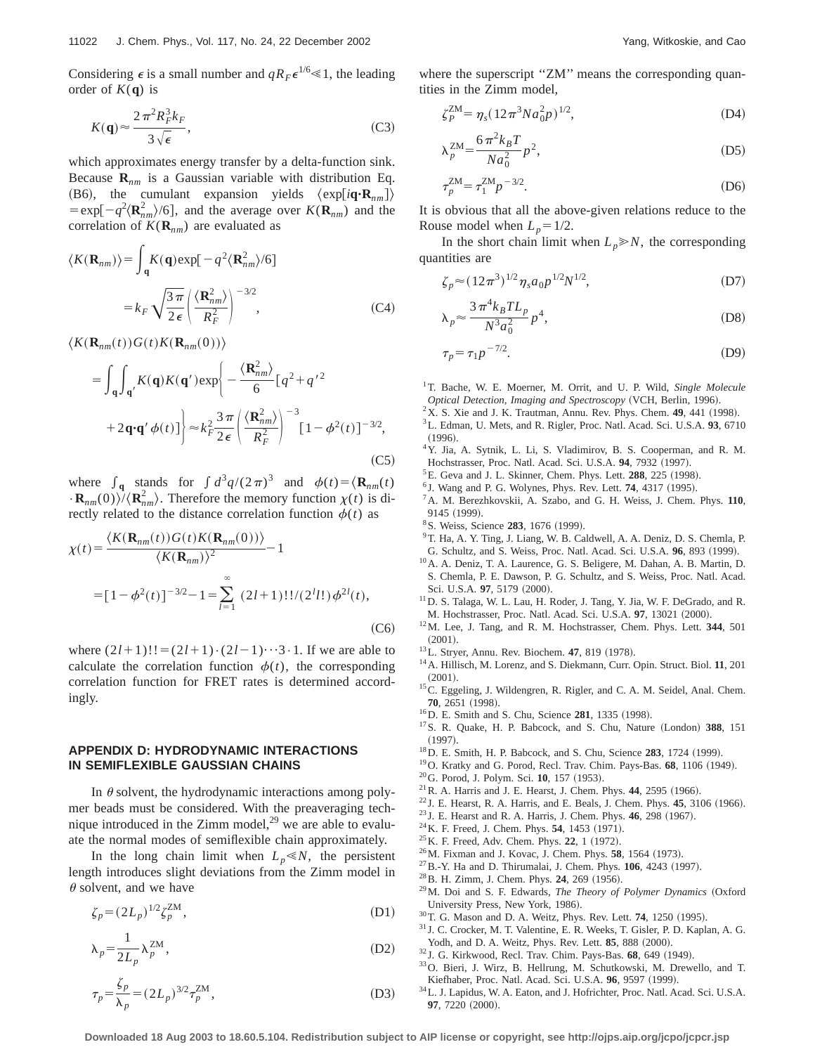Considering  $\epsilon$  is a small number and  $qR_F\epsilon^{1/6} \ll 1$ , the leading order of  $K(q)$  is

$$
K(\mathbf{q}) \approx \frac{2\pi^2 R_F^3 k_F}{3\sqrt{\epsilon}},\tag{C3}
$$

which approximates energy transfer by a delta-function sink. Because **R***nm* is a Gaussian variable with distribution Eq. (B6), the cumulant expansion yields  $\langle \exp[i\mathbf{q} \cdot \mathbf{R}_{nm}] \rangle$  $= \exp[-q^2 \langle \mathbf{R}_{nm}^2 \rangle/6]$ , and the average over  $K(\mathbf{R}_{nm})$  and the correlation of  $K(\mathbf{R}_{nm})$  are evaluated as

$$
\langle K(\mathbf{R}_{nm}) \rangle = \int_{\mathbf{q}} K(\mathbf{q}) \exp[-q^2 \langle \mathbf{R}_{nm}^2 \rangle / 6]
$$

$$
= k_F \sqrt{\frac{3 \pi}{2 \epsilon}} \left( \frac{\langle \mathbf{R}_{nm}^2 \rangle}{R_F^2} \right)^{-3/2}, \tag{C4}
$$

 $\langle K(\mathbf{R}_{nm}(t))G(t)K(\mathbf{R}_{nm}(0))\rangle$ 

$$
= \int_{\mathbf{q}} \int_{\mathbf{q'}} K(\mathbf{q}) K(\mathbf{q'}) \exp\left\{-\frac{\langle \mathbf{R}_{nm}^2 \rangle}{6} [q^2 + {q'}^2 + 2q' \cdot 2] \right\} \approx k_F^2 \frac{3\pi}{2\epsilon} \left\langle \frac{\langle \mathbf{R}_{nm}^2 \rangle}{R_F^2} \right\rangle^{-3} [1 - \phi^2(t)]^{-3/2},
$$
\n(C5)

where  $\int_{\mathbf{q}}$  stands for  $\int d^3q/(2\pi)^3$  and  $\phi(t) = \langle \mathbf{R}_{nm}(t) \rangle$  $\cdot$  **R**<sub>nm</sub>(0) $\sqrt{\langle \mathbf{R}_{nm}^2 \rangle}$ . Therefore the memory function  $\chi(t)$  is directly related to the distance correlation function  $\phi(t)$  as

$$
\chi(t) = \frac{\langle K(\mathbf{R}_{nm}(t))G(t)K(\mathbf{R}_{nm}(0))\rangle}{\langle K(\mathbf{R}_{nm})\rangle^2} - 1
$$
  
=  $[1 - \phi^2(t)]^{-3/2} - 1 = \sum_{l=1}^{\infty} (2l+1)!!/(2^l l!) \phi^{2l}(t),$  (C6)

where  $(2l+1)! = (2l+1) \cdot (2l-1) \cdot 3 \cdot 1$ . If we are able to calculate the correlation function  $\phi(t)$ , the corresponding correlation function for FRET rates is determined accordingly.

#### **APPENDIX D: HYDRODYNAMIC INTERACTIONS IN SEMIFLEXIBLE GAUSSIAN CHAINS**

In  $\theta$  solvent, the hydrodynamic interactions among polymer beads must be considered. With the preaveraging technique introduced in the Zimm model, $^{29}$  we are able to evaluate the normal modes of semiflexible chain approximately.

In the long chain limit when  $L_p \ll N$ , the persistent length introduces slight deviations from the Zimm model in  $\theta$  solvent, and we have

$$
\zeta_p = (2L_p)^{1/2} \zeta_p^{ZM},\tag{D1}
$$

$$
\lambda_p = \frac{1}{2L_p} \lambda_p^{\text{ZM}},\tag{D2}
$$

$$
\tau_p = \frac{\zeta_p}{\lambda_p} = (2L_p)^{3/2} \tau_p^{\text{ZM}},\tag{D3}
$$

where the superscript "ZM" means the corresponding quantities in the Zimm model,

$$
\zeta_P^{\text{ZM}} = \eta_s (12\pi^3 N a_0^2 p)^{1/2},\tag{D4}
$$

$$
\lambda_p^{\text{ZM}} = \frac{6\pi^2 k_B T}{N a_0^2} p^2,\tag{D5}
$$

$$
\tau_p^{\rm ZM} = \tau_1^{\rm ZM} p^{-3/2}.
$$
 (D6)

It is obvious that all the above-given relations reduce to the Rouse model when  $L_p = 1/2$ .

In the short chain limit when  $L_p \gg N$ , the corresponding quantities are

$$
\zeta_p \approx (12\pi^3)^{1/2} \eta_s a_0 p^{1/2} N^{1/2},\tag{D7}
$$

$$
\lambda_p \approx \frac{3 \pi^4 k_B T L_p}{N^3 a_0^2} p^4,
$$
\n(D8)

$$
\tau_p = \tau_1 p^{-7/2}.\tag{D9}
$$

- <sup>1</sup>T. Bache, W. E. Moerner, M. Orrit, and U. P. Wild, *Single Molecule* Optical Detection, Imaging and Spectroscopy (VCH, Berlin, 1996).
- $2X$ . S. Xie and J. K. Trautman, Annu. Rev. Phys. Chem. **49**, 441 (1998).
- 3L. Edman, U. Mets, and R. Rigler, Proc. Natl. Acad. Sci. U.S.A. **93**, 6710  $(1996).$
- <sup>4</sup> Y. Jia, A. Sytnik, L. Li, S. Vladimirov, B. S. Cooperman, and R. M. Hochstrasser, Proc. Natl. Acad. Sci. U.S.A. 94, 7932 (1997).
- <sup>5</sup> E. Geva and J. L. Skinner, Chem. Phys. Lett. **288**, 225 (1998).
- $6$  J. Wang and P. G. Wolynes, Phys. Rev. Lett.  $74$ ,  $4317$   $(1995)$ .
- 7A. M. Berezhkovskii, A. Szabo, and G. H. Weiss, J. Chem. Phys. **110**, 9145 (1999).
- <sup>8</sup> S. Weiss, Science 283, 1676 (1999).
- 9T. Ha, A. Y. Ting, J. Liang, W. B. Caldwell, A. A. Deniz, D. S. Chemla, P. G. Schultz, and S. Weiss, Proc. Natl. Acad. Sci. U.S.A. 96, 893 (1999).
- 10A. A. Deniz, T. A. Laurence, G. S. Beligere, M. Dahan, A. B. Martin, D. S. Chemla, P. E. Dawson, P. G. Schultz, and S. Weiss, Proc. Natl. Acad. Sci. U.S.A. 97, 5179 (2000).
- <sup>11</sup> D. S. Talaga, W. L. Lau, H. Roder, J. Tang, Y. Jia, W. F. DeGrado, and R. M. Hochstrasser, Proc. Natl. Acad. Sci. U.S.A. 97, 13021 (2000).
- 12M. Lee, J. Tang, and R. M. Hochstrasser, Chem. Phys. Lett. **344**, 501  $(2001).$
- <sup>13</sup>L. Stryer, Annu. Rev. Biochem. **47**, 819 (1978).
- 14A. Hillisch, M. Lorenz, and S. Diekmann, Curr. Opin. Struct. Biol. **11**, 201  $(2001).$
- 15C. Eggeling, J. Wildengren, R. Rigler, and C. A. M. Seidel, Anal. Chem. **70**, 2651 (1998).
- <sup>16</sup>D. E. Smith and S. Chu, Science **281**, 1335 (1998).
- <sup>17</sup>S. R. Quake, H. P. Babcock, and S. Chu, Nature (London) 388, 151  $(1997).$
- <sup>18</sup>D. E. Smith, H. P. Babcock, and S. Chu, Science 283, 1724 (1999).
- <sup>19</sup> O. Kratky and G. Porod, Recl. Trav. Chim. Pays-Bas. 68, 1106 (1949).
- <sup>20</sup>G. Porod, J. Polym. Sci. **10**, 157 (1953).
- $^{21}$  R. A. Harris and J. E. Hearst, J. Chem. Phys. **44**, 2595 (1966).
- $22$  J. E. Hearst, R. A. Harris, and E. Beals, J. Chem. Phys. **45**, 3106 (1966).
- <sup>23</sup> J. E. Hearst and R. A. Harris, J. Chem. Phys. **46**, 298 (1967).
- <sup>24</sup> K. F. Freed, J. Chem. Phys. **54**, 1453 (1971).
- <sup>25</sup> K. F. Freed, Adv. Chem. Phys. **22**, 1 (1972).
- <sup>26</sup>M. Fixman and J. Kovac, J. Chem. Phys. **58**, 1564 (1973).
- <sup>27</sup> B.-Y. Ha and D. Thirumalai, J. Chem. Phys. **106**, 4243 (1997).
- <sup>28</sup> B. H. Zimm, J. Chem. Phys. **24**, 269 (1956).
- <sup>29</sup>M. Doi and S. F. Edwards, *The Theory of Polymer Dynamics* (Oxford University Press, New York, 1986).
- <sup>30</sup> T. G. Mason and D. A. Weitz, Phys. Rev. Lett. **74**, 1250 (1995).
- <sup>31</sup> J. C. Crocker, M. T. Valentine, E. R. Weeks, T. Gisler, P. D. Kaplan, A. G. Yodh, and D. A. Weitz, Phys. Rev. Lett. **85**, 888 (2000).
- <sup>32</sup> J. G. Kirkwood, Recl. Trav. Chim. Pays-Bas. 68, 649 (1949).
- 33O. Bieri, J. Wirz, B. Hellrung, M. Schutkowski, M. Drewello, and T. Kiefhaber, Proc. Natl. Acad. Sci. U.S.A. 96, 9597 (1999).
- 34L. J. Lapidus, W. A. Eaton, and J. Hofrichter, Proc. Natl. Acad. Sci. U.S.A. **97**, 7220 (2000).